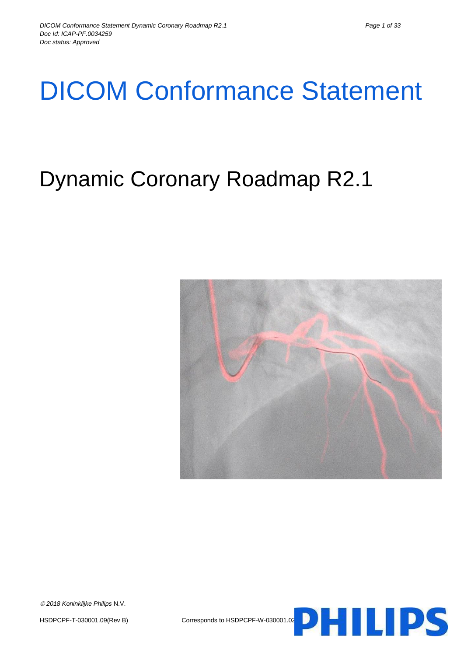# DICOM Conformance Statement

# Dynamic Coronary Roadmap R2.1



HSDPCPF-T-030001.09(Rev B) Corresponds to HSDPCPF-W-030001.02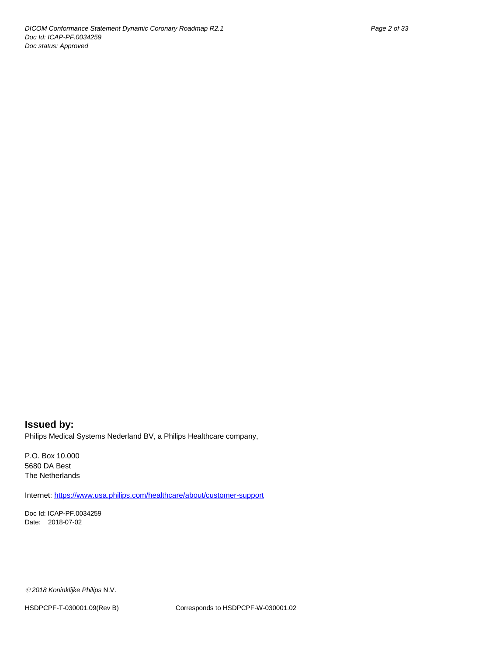## **Issued by:** Philips Medical Systems Nederland BV, a Philips Healthcare company,

P.O. Box 10.000 5680 DA Best The Netherlands

Internet[: https://www.usa.philips.com/healthcare/about/customer-support](https://www.usa.philips.com/healthcare/about/customer-support)

Doc Id: ICAP-PF.0034259 Date: 2018-07-02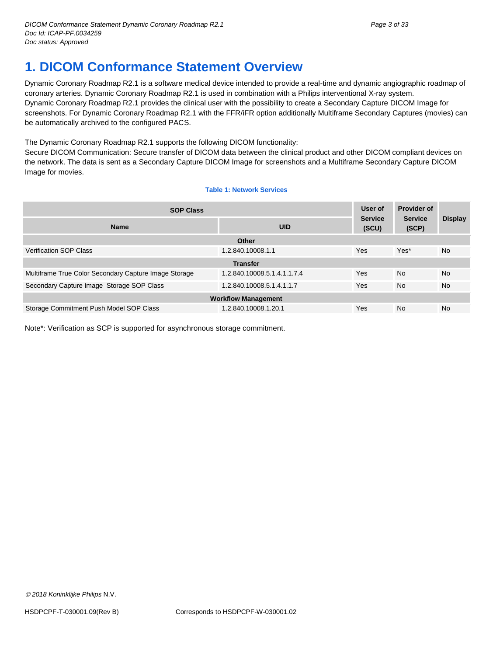# <span id="page-2-0"></span>**1. DICOM Conformance Statement Overview**

Dynamic Coronary Roadmap R2.1 is a software medical device intended to provide a real-time and dynamic angiographic roadmap of coronary arteries. Dynamic Coronary Roadmap R2.1 is used in combination with a Philips interventional X-ray system. Dynamic Coronary Roadmap R2.1 provides the clinical user with the possibility to create a Secondary Capture DICOM Image for screenshots. For Dynamic Coronary Roadmap R2.1 with the FFR/iFR option additionally Multiframe Secondary Captures (movies) can be automatically archived to the configured PACS.

The Dynamic Coronary Roadmap R2.1 supports the following DICOM functionality:

Secure DICOM Communication: Secure transfer of DICOM data between the clinical product and other DICOM compliant devices on the network. The data is sent as a Secondary Capture DICOM Image for screenshots and a Multiframe Secondary Capture DICOM Image for movies.

#### **Table 1: Network Services**

| <b>SOP Class</b>                                      |                             | User of<br><b>Service</b> | <b>Provider of</b><br><b>Service</b><br>(SCP) | <b>Display</b> |
|-------------------------------------------------------|-----------------------------|---------------------------|-----------------------------------------------|----------------|
| <b>Name</b>                                           | <b>UID</b><br>(SCU)         |                           |                                               |                |
|                                                       | Other                       |                           |                                               |                |
| <b>Verification SOP Class</b>                         | 1.2.840.10008.1.1           | Yes                       | Yes*                                          | <b>No</b>      |
|                                                       | <b>Transfer</b>             |                           |                                               |                |
| Multiframe True Color Secondary Capture Image Storage | 1.2.840.10008.5.1.4.1.1.7.4 | Yes                       | <b>No</b>                                     | <b>No</b>      |
| Secondary Capture Image Storage SOP Class             | 1.2.840.10008.5.1.4.1.1.7   | <b>Yes</b>                | <b>No</b>                                     | <b>No</b>      |
| <b>Workflow Management</b>                            |                             |                           |                                               |                |
| Storage Commitment Push Model SOP Class               | 1.2.840.10008.1.20.1        | Yes                       | <b>No</b>                                     | <b>No</b>      |

Note\*: Verification as SCP is supported for asynchronous storage commitment.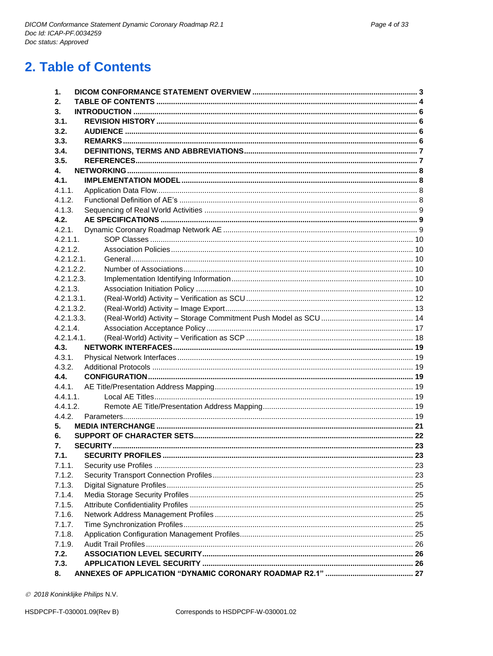# <span id="page-3-0"></span>2. Table of Contents

| 1.          |  |
|-------------|--|
| 2.          |  |
| 3.          |  |
| 3.1.        |  |
| 3.2.        |  |
| 3.3.        |  |
| 3.4.        |  |
| 3.5.        |  |
| 4.          |  |
| 4.1.        |  |
| 4.1.1.      |  |
| 4.1.2.      |  |
| 4.1.3.      |  |
| 4.2.        |  |
| 4.2.1.      |  |
| $4.2.1.1$ . |  |
| 4.2.1.2.    |  |
| 4.2.1.2.1.  |  |
| 4.2.1.2.2.  |  |
| 4.2.1.2.3.  |  |
| 4.2.1.3.    |  |
| 4.2.1.3.1.  |  |
| 4.2.1.3.2.  |  |
| 4.2.1.3.3.  |  |
| 4.2.1.4.    |  |
| 4.2.1.4.1.  |  |
| 4.3.        |  |
| 4.3.1.      |  |
| 4.3.2.      |  |
| 4.4.        |  |
| 4.4.1.      |  |
| 4.4.1.1.    |  |
| 4.4.1.2.    |  |
| 4.4.2.      |  |
| 5.          |  |
| 6.          |  |
| 7.          |  |
| 7.1.        |  |
| 7.1.1.      |  |
|             |  |
| 7.1.2.      |  |
| 7.1.3.      |  |
| 7.1.4.      |  |
| 7.1.5.      |  |
| 7.1.6.      |  |
| 7.1.7.      |  |
| 7.1.8.      |  |
| 7.1.9.      |  |
| 7.2.        |  |
| 7.3.        |  |
| 8.          |  |

@ 2018 Koninklijke Philips N.V.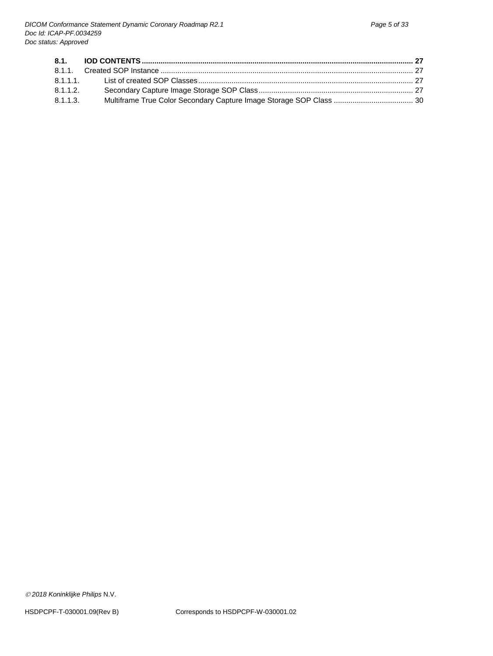| 8.1.1.2. |  |
|----------|--|
| 8.1.1.3. |  |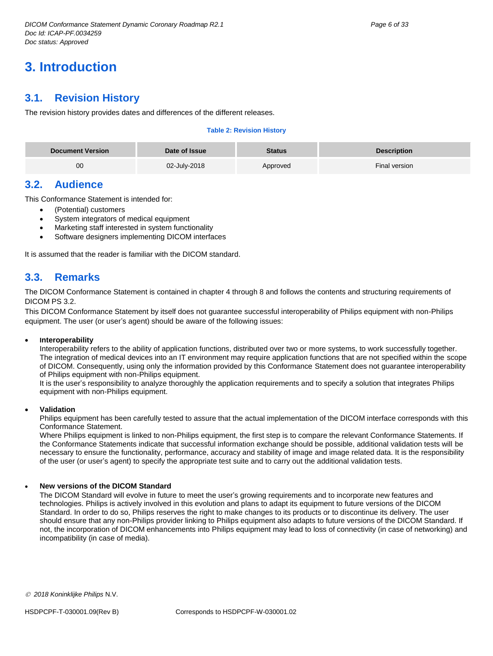# <span id="page-5-0"></span>**3. Introduction**

# <span id="page-5-1"></span>**3.1. Revision History**

The revision history provides dates and differences of the different releases.

#### **Table 2: Revision History**

| <b>Document Version</b> | Date of Issue | <b>Status</b> | <b>Description</b> |
|-------------------------|---------------|---------------|--------------------|
| 00                      | 02-July-2018  | Approved      | Final version      |

# <span id="page-5-2"></span>**3.2. Audience**

This Conformance Statement is intended for:

- (Potential) customers
- System integrators of medical equipment
- Marketing staff interested in system functionality
- Software designers implementing DICOM interfaces

It is assumed that the reader is familiar with the DICOM standard.

# <span id="page-5-3"></span>**3.3. Remarks**

The DICOM Conformance Statement is contained in chapter 4 through 8 and follows the contents and structuring requirements of DICOM PS 3.2.

This DICOM Conformance Statement by itself does not guarantee successful interoperability of Philips equipment with non-Philips equipment. The user (or user's agent) should be aware of the following issues:

#### **Interoperability**

Interoperability refers to the ability of application functions, distributed over two or more systems, to work successfully together. The integration of medical devices into an IT environment may require application functions that are not specified within the scope of DICOM. Consequently, using only the information provided by this Conformance Statement does not guarantee interoperability of Philips equipment with non-Philips equipment.

It is the user's responsibility to analyze thoroughly the application requirements and to specify a solution that integrates Philips equipment with non-Philips equipment.

#### **Validation**

Philips equipment has been carefully tested to assure that the actual implementation of the DICOM interface corresponds with this Conformance Statement.

Where Philips equipment is linked to non-Philips equipment, the first step is to compare the relevant Conformance Statements. If the Conformance Statements indicate that successful information exchange should be possible, additional validation tests will be necessary to ensure the functionality, performance, accuracy and stability of image and image related data. It is the responsibility of the user (or user's agent) to specify the appropriate test suite and to carry out the additional validation tests.

#### **New versions of the DICOM Standard**

The DICOM Standard will evolve in future to meet the user's growing requirements and to incorporate new features and technologies. Philips is actively involved in this evolution and plans to adapt its equipment to future versions of the DICOM Standard. In order to do so, Philips reserves the right to make changes to its products or to discontinue its delivery. The user should ensure that any non-Philips provider linking to Philips equipment also adapts to future versions of the DICOM Standard. If not, the incorporation of DICOM enhancements into Philips equipment may lead to loss of connectivity (in case of networking) and incompatibility (in case of media).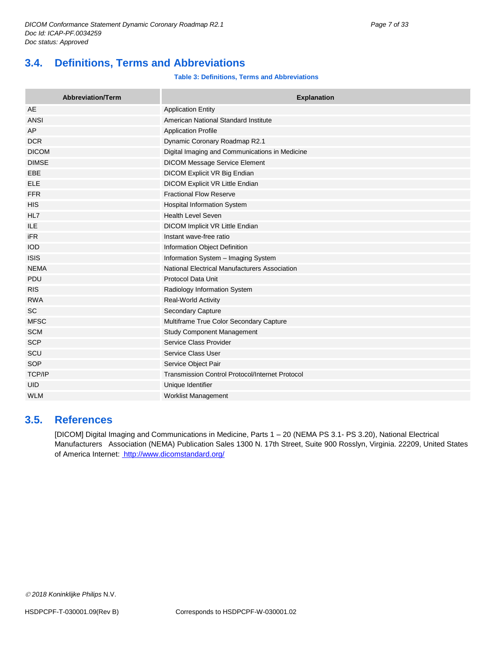# <span id="page-6-0"></span>**3.4. Definitions, Terms and Abbreviations**

#### **Table 3: Definitions, Terms and Abbreviations**

| <b>Abbreviation/Term</b> | <b>Explanation</b>                                     |
|--------------------------|--------------------------------------------------------|
| AE                       | <b>Application Entity</b>                              |
| ANSI                     | American National Standard Institute                   |
| AP                       | <b>Application Profile</b>                             |
| <b>DCR</b>               | Dynamic Coronary Roadmap R2.1                          |
| <b>DICOM</b>             | Digital Imaging and Communications in Medicine         |
| <b>DIMSE</b>             | <b>DICOM Message Service Element</b>                   |
| EBE                      | DICOM Explicit VR Big Endian                           |
| <b>ELE</b>               | DICOM Explicit VR Little Endian                        |
| <b>FFR</b>               | <b>Fractional Flow Reserve</b>                         |
| <b>HIS</b>               | Hospital Information System                            |
| HL7                      | <b>Health Level Seven</b>                              |
| <b>ILE</b>               | DICOM Implicit VR Little Endian                        |
| <b>iFR</b>               | Instant wave-free ratio                                |
| <b>IOD</b>               | Information Object Definition                          |
| <b>ISIS</b>              | Information System - Imaging System                    |
| <b>NEMA</b>              | National Electrical Manufacturers Association          |
| PDU                      | <b>Protocol Data Unit</b>                              |
| <b>RIS</b>               | Radiology Information System                           |
| <b>RWA</b>               | <b>Real-World Activity</b>                             |
| <b>SC</b>                | <b>Secondary Capture</b>                               |
| <b>MFSC</b>              | Multiframe True Color Secondary Capture                |
| <b>SCM</b>               | Study Component Management                             |
| <b>SCP</b>               | Service Class Provider                                 |
| SCU                      | Service Class User                                     |
| SOP                      | Service Object Pair                                    |
| TCP/IP                   | <b>Transmission Control Protocol/Internet Protocol</b> |
| <b>UID</b>               | Unique Identifier                                      |
| <b>WLM</b>               | <b>Worklist Management</b>                             |

# <span id="page-6-1"></span>**3.5. References**

[DICOM] Digital Imaging and Communications in Medicine, Parts 1 – 20 (NEMA PS 3.1- PS 3.20), National Electrical Manufacturers Association (NEMA) Publication Sales 1300 N. 17th Street, Suite 900 Rosslyn, Virginia. 22209, United States of America Internet:<http://www.dicomstandard.org/>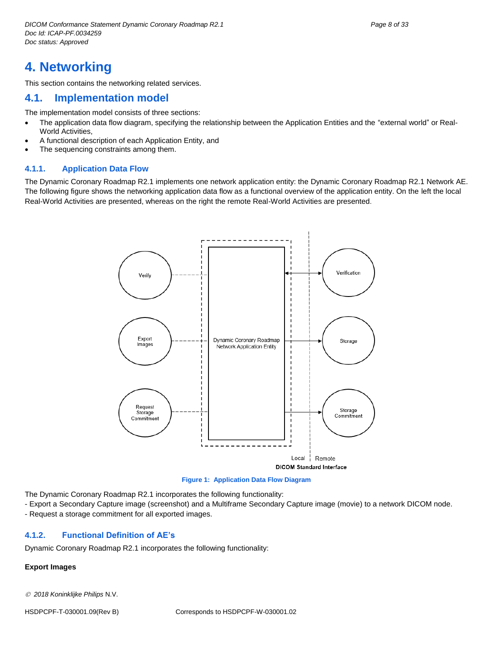# <span id="page-7-0"></span>**4. Networking**

This section contains the networking related services.

## <span id="page-7-1"></span>**4.1. Implementation model**

The implementation model consists of three sections:

- The application data flow diagram, specifying the relationship between the Application Entities and the "external world" or Real-World Activities,
- A functional description of each Application Entity, and
- The sequencing constraints among them.

#### <span id="page-7-2"></span>**4.1.1. Application Data Flow**

The Dynamic Coronary Roadmap R2.1 implements one network application entity: the Dynamic Coronary Roadmap R2.1 Network AE. The following figure shows the networking application data flow as a functional overview of the application entity. On the left the local Real-World Activities are presented, whereas on the right the remote Real-World Activities are presented.



**Figure 1: Application Data Flow Diagram**

The Dynamic Coronary Roadmap R2.1 incorporates the following functionality:

- Export a Secondary Capture image (screenshot) and a Multiframe Secondary Capture image (movie) to a network DICOM node.

- Request a storage commitment for all exported images.

#### <span id="page-7-3"></span>**4.1.2. Functional Definition of AE's**

Dynamic Coronary Roadmap R2.1 incorporates the following functionality:

#### **Export Images**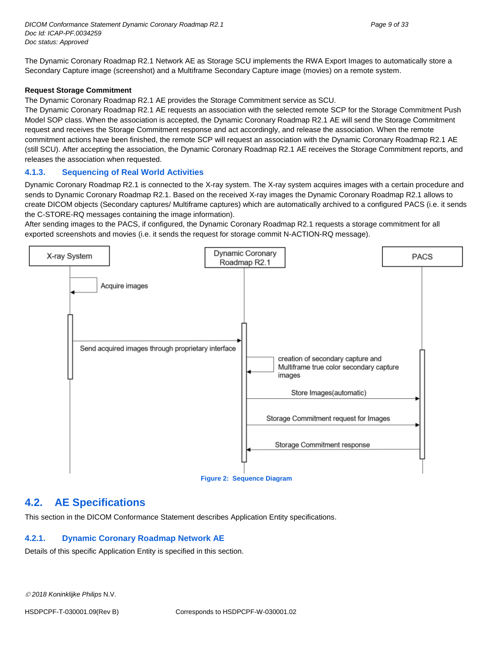The Dynamic Coronary Roadmap R2.1 Network AE as Storage SCU implements the RWA Export Images to automatically store a Secondary Capture image (screenshot) and a Multiframe Secondary Capture image (movies) on a remote system.

#### **Request Storage Commitment**

The Dynamic Coronary Roadmap R2.1 AE provides the Storage Commitment service as SCU.

The Dynamic Coronary Roadmap R2.1 AE requests an association with the selected remote SCP for the Storage Commitment Push Model SOP class. When the association is accepted, the Dynamic Coronary Roadmap R2.1 AE will send the Storage Commitment request and receives the Storage Commitment response and act accordingly, and release the association. When the remote commitment actions have been finished, the remote SCP will request an association with the Dynamic Coronary Roadmap R2.1 AE (still SCU). After accepting the association, the Dynamic Coronary Roadmap R2.1 AE receives the Storage Commitment reports, and releases the association when requested.

#### <span id="page-8-0"></span>**4.1.3. Sequencing of Real World Activities**

Dynamic Coronary Roadmap R2.1 is connected to the X-ray system. The X-ray system acquires images with a certain procedure and sends to Dynamic Coronary Roadmap R2.1. Based on the received X-ray images the Dynamic Coronary Roadmap R2.1 allows to create DICOM objects (Secondary captures/ Multiframe captures) which are automatically archived to a configured PACS (i.e. it sends the C-STORE-RQ messages containing the image information).

After sending images to the PACS, if configured, the Dynamic Coronary Roadmap R2.1 requests a storage commitment for all exported screenshots and movies (i.e. it sends the request for storage commit N-ACTION-RQ message).



# <span id="page-8-1"></span>**4.2. AE Specifications**

This section in the DICOM Conformance Statement describes Application Entity specifications.

#### <span id="page-8-2"></span>**4.2.1. Dynamic Coronary Roadmap Network AE**

Details of this specific Application Entity is specified in this section.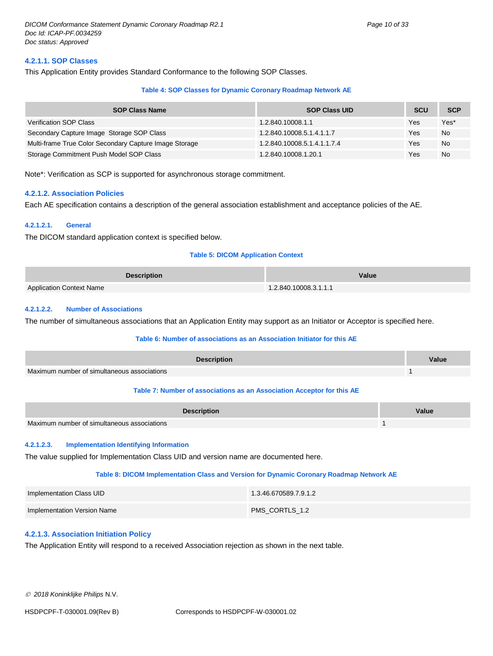#### <span id="page-9-0"></span>**4.2.1.1. SOP Classes**

This Application Entity provides Standard Conformance to the following SOP Classes.

#### **Table 4: SOP Classes for Dynamic Coronary Roadmap Network AE**

| <b>SOP Class Name</b>                                  | <b>SOP Class UID</b>        | <b>SCU</b> | <b>SCP</b> |
|--------------------------------------------------------|-----------------------------|------------|------------|
| <b>Verification SOP Class</b>                          | 1.2.840.10008.1.1           | Yes        | Yes*       |
| Secondary Capture Image Storage SOP Class              | 1.2.840.10008.5.1.4.1.1.7   | Yes        | No         |
| Multi-frame True Color Secondary Capture Image Storage | 1.2.840.10008.5.1.4.1.1.7.4 | Yes        | No         |
| Storage Commitment Push Model SOP Class                | 1.2.840.10008.1.20.1        | Yes        | <b>No</b>  |

<span id="page-9-1"></span>Note\*: Verification as SCP is supported for asynchronous storage commitment.

#### **4.2.1.2. Association Policies**

Each AE specification contains a description of the general association establishment and acceptance policies of the AE.

#### <span id="page-9-2"></span>**4.2.1.2.1. General**

The DICOM standard application context is specified below.

#### **Table 5: DICOM Application Context**

| <b>Description</b>              | Value                 |
|---------------------------------|-----------------------|
| <b>Application Context Name</b> | 1.2.840.10008.3.1.1.1 |

#### <span id="page-9-3"></span>**4.2.1.2.2. Number of Associations**

The number of simultaneous associations that an Application Entity may support as an Initiator or Acceptor is specified here.

#### **Table 6: Number of associations as an Association Initiator for this AE**

| <b>Description</b>                                                     |  |  |
|------------------------------------------------------------------------|--|--|
| Maximum number of simultaneous associations                            |  |  |
| Table 7: Number of associations as an Association Acceptor for this AE |  |  |

|                                             | <b>Description</b> | Value |
|---------------------------------------------|--------------------|-------|
| Maximum number of simultaneous associations |                    |       |

#### <span id="page-9-4"></span>**4.2.1.2.3. Implementation Identifying Information**

The value supplied for Implementation Class UID and version name are documented here.

#### **Table 8: DICOM Implementation Class and Version for Dynamic Coronary Roadmap Network AE**

| Implementation Class UID    | 1.3.46.670589.7.9.1.2 |
|-----------------------------|-----------------------|
| Implementation Version Name | PMS CORTLS 1.2        |

#### <span id="page-9-5"></span>**4.2.1.3. Association Initiation Policy**

The Application Entity will respond to a received Association rejection as shown in the next table.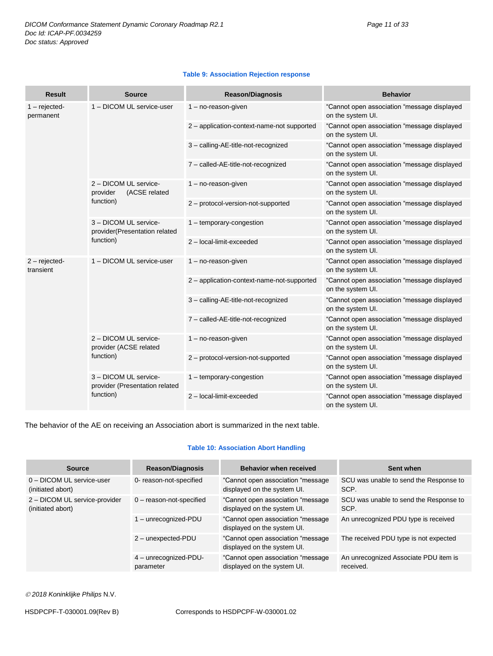#### **Table 9: Association Rejection response**

| <b>Result</b>               | <b>Source</b>                                                        | <b>Reason/Diagnosis</b>                    | <b>Behavior</b>                                                  |
|-----------------------------|----------------------------------------------------------------------|--------------------------------------------|------------------------------------------------------------------|
| $1 - rejected$<br>permanent | 1 - DICOM UL service-user                                            | 1 - no-reason-given                        | "Cannot open association "message displayed<br>on the system UI. |
|                             |                                                                      | 2 - application-context-name-not supported | "Cannot open association "message displayed<br>on the system UI. |
|                             |                                                                      | 3 - calling-AE-title-not-recognized        | "Cannot open association "message displayed<br>on the system UI. |
|                             |                                                                      | 7 - called-AE-title-not-recognized         | "Cannot open association "message displayed<br>on the system UI. |
|                             | 2 - DICOM UL service-<br>(ACSE related<br>provider                   | $1 - no$ -reason-given                     | "Cannot open association "message displayed<br>on the system UI. |
|                             | function)                                                            | 2 - protocol-version-not-supported         | "Cannot open association "message displayed<br>on the system UI. |
|                             | 3 - DICOM UL service-<br>provider(Presentation related<br>function)  | 1 - temporary-congestion                   | "Cannot open association "message displayed<br>on the system UI. |
|                             |                                                                      | 2 - local-limit-exceeded                   | "Cannot open association "message displayed<br>on the system UI. |
| $2 - rejected$<br>transient | 1 - DICOM UL service-user                                            | 1 - no-reason-given                        | "Cannot open association "message displayed<br>on the system UI. |
|                             |                                                                      | 2 - application-context-name-not-supported | "Cannot open association "message displayed<br>on the system UI. |
|                             |                                                                      | 3 - calling-AE-title-not-recognized        | "Cannot open association "message displayed<br>on the system UI. |
|                             |                                                                      | 7 - called-AE-title-not-recognized         | "Cannot open association "message displayed<br>on the system UI. |
|                             | 2 - DICOM UL service-<br>provider (ACSE related<br>function)         | 1 - no-reason-given                        | "Cannot open association "message displayed<br>on the system UI. |
|                             |                                                                      | 2 - protocol-version-not-supported         | "Cannot open association "message displayed<br>on the system UI. |
|                             | 3 - DICOM UL service-<br>provider (Presentation related<br>function) | 1 - temporary-congestion                   | "Cannot open association "message displayed<br>on the system UI. |
|                             |                                                                      | 2 - local-limit-exceeded                   | "Cannot open association "message displayed<br>on the system UI. |

The behavior of the AE on receiving an Association abort is summarized in the next table.

#### **Table 10: Association Abort Handling**

| Source                                             | <b>Reason/Diagnosis</b>            | <b>Behavior when received</b>                                    | Sent when                                          |
|----------------------------------------------------|------------------------------------|------------------------------------------------------------------|----------------------------------------------------|
| 0 - DICOM UL service-user<br>(initiated abort)     | 0- reason-not-specified            | "Cannot open association "message<br>displayed on the system UI. | SCU was unable to send the Response to<br>SCP.     |
| 2 - DICOM UL service-provider<br>(initiated abort) | $0$ – reason-not-specified         | "Cannot open association "message<br>displayed on the system UI. | SCU was unable to send the Response to<br>SCP.     |
|                                                    | 1 - unrecognized-PDU               | "Cannot open association "message<br>displayed on the system UI. | An unrecognized PDU type is received               |
|                                                    | 2 - unexpected-PDU                 | "Cannot open association "message<br>displayed on the system UI. | The received PDU type is not expected              |
|                                                    | 4 - unrecognized-PDU-<br>parameter | "Cannot open association "message<br>displayed on the system UI. | An unrecognized Associate PDU item is<br>received. |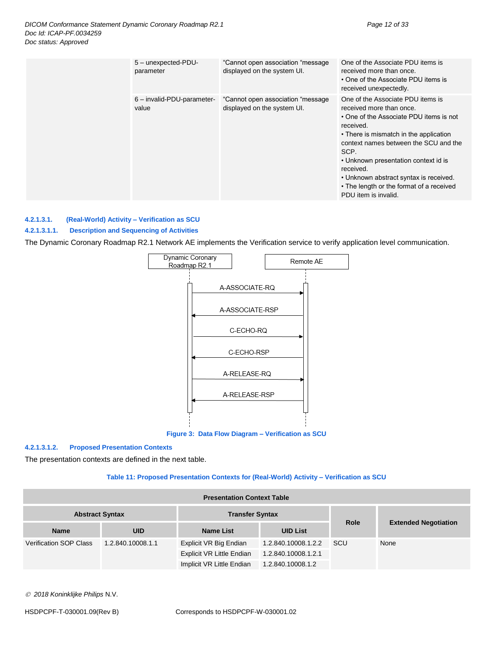| 5 - unexpected-PDU-<br>parameter    | "Cannot open association "message<br>displayed on the system UI.  | One of the Associate PDU items is<br>received more than once.<br>• One of the Associate PDU items is<br>received unexpectedly.                                                                                                                                                                                                                                                      |
|-------------------------------------|-------------------------------------------------------------------|-------------------------------------------------------------------------------------------------------------------------------------------------------------------------------------------------------------------------------------------------------------------------------------------------------------------------------------------------------------------------------------|
| 6 - invalid-PDU-parameter-<br>value | "Cannot open association "message"<br>displayed on the system UI. | One of the Associate PDU items is<br>received more than once.<br>• One of the Associate PDU items is not<br>received.<br>• There is mismatch in the application<br>context names between the SCU and the<br>SCP.<br>• Unknown presentation context id is<br>received.<br>• Unknown abstract syntax is received.<br>• The length or the format of a received<br>PDU item is invalid. |

#### <span id="page-11-0"></span>**4.2.1.3.1. (Real-World) Activity – Verification as SCU**

#### **4.2.1.3.1.1. Description and Sequencing of Activities**

The Dynamic Coronary Roadmap R2.1 Network AE implements the Verification service to verify application level communication.



**Figure 3: Data Flow Diagram – Verification as SCU**

#### **4.2.1.3.1.2. Proposed Presentation Contexts**

The presentation contexts are defined in the next table.

#### **Table 11: Proposed Presentation Contexts for (Real-World) Activity – Verification as SCU**

| <b>Presentation Context Table</b> |                   |                           |                     |             |                             |  |
|-----------------------------------|-------------------|---------------------------|---------------------|-------------|-----------------------------|--|
| <b>Abstract Syntax</b>            |                   | <b>Transfer Syntax</b>    |                     |             |                             |  |
| <b>Name</b>                       | <b>UID</b>        | <b>Name List</b>          | <b>UID List</b>     | <b>Role</b> | <b>Extended Negotiation</b> |  |
| <b>Verification SOP Class</b>     | 1.2.840.10008.1.1 | Explicit VR Big Endian    | 1.2.840.10008.1.2.2 | <b>SCU</b>  | None                        |  |
|                                   |                   | Explicit VR Little Endian | 1.2.840.10008.1.2.1 |             |                             |  |
|                                   |                   | Implicit VR Little Endian | 1.2.840.10008.1.2   |             |                             |  |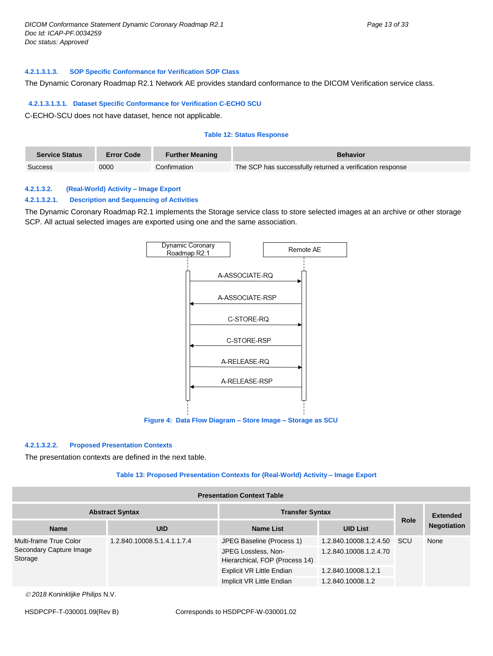#### **4.2.1.3.1.3. SOP Specific Conformance for Verification SOP Class**

The Dynamic Coronary Roadmap R2.1 Network AE provides standard conformance to the DICOM Verification service class.

#### **4.2.1.3.1.3.1. Dataset Specific Conformance for Verification C-ECHO SCU**

C-ECHO-SCU does not have dataset, hence not applicable.

#### **Table 12: Status Response**

| <b>Service Status</b> | <b>Error Code</b> | <b>Further Meaning</b> | <b>Behavior</b>                                           |
|-----------------------|-------------------|------------------------|-----------------------------------------------------------|
| <b>Success</b>        | 0000              | Confirmation           | The SCP has successfully returned a verification response |

#### <span id="page-12-0"></span>**4.2.1.3.2. (Real-World) Activity – Image Export**

#### **4.2.1.3.2.1. Description and Sequencing of Activities**

The Dynamic Coronary Roadmap R2.1 implements the Storage service class to store selected images at an archive or other storage SCP. All actual selected images are exported using one and the same association.



## **4.2.1.3.2.2. Proposed Presentation Contexts**

The presentation contexts are defined in the next table.

#### **Table 13: Proposed Presentation Contexts for (Real-World) Activity – Image Export**

#### **Presentation Context Table**

| <b>Abstract Syntax</b>             |                             | <b>Transfer Syntax</b>                                |                        |             | <b>Extended</b>    |
|------------------------------------|-----------------------------|-------------------------------------------------------|------------------------|-------------|--------------------|
| <b>Name</b>                        | <b>UID</b>                  | <b>Name List</b>                                      | <b>UID List</b>        | <b>Role</b> | <b>Negotiation</b> |
| Multi-frame True Color             | 1.2.840.10008.5.1.4.1.1.7.4 | JPEG Baseline (Process 1)                             | 1.2.840.10008.1.2.4.50 | scu         | None               |
| Secondary Capture Image<br>Storage |                             | JPEG Lossless, Non-<br>Hierarchical, FOP (Process 14) | 1.2.840.10008.1.2.4.70 |             |                    |
|                                    |                             | Explicit VR Little Endian                             | 1.2.840.10008.1.2.1    |             |                    |
|                                    |                             | Implicit VR Little Endian                             | 1.2.840.10008.1.2      |             |                    |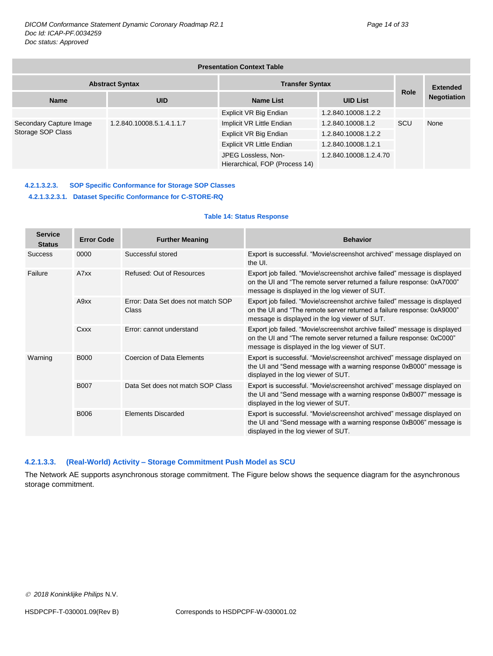| <b>Presentation Context Table</b>                |                           |                                                       |                        |             |                    |
|--------------------------------------------------|---------------------------|-------------------------------------------------------|------------------------|-------------|--------------------|
| <b>Transfer Syntax</b><br><b>Abstract Syntax</b> |                           |                                                       |                        |             | <b>Extended</b>    |
| <b>Name</b>                                      | <b>UID</b>                | <b>Name List</b>                                      | <b>UID List</b>        | <b>Role</b> | <b>Negotiation</b> |
|                                                  |                           | Explicit VR Big Endian                                | 1.2.840.10008.1.2.2    |             |                    |
| Secondary Capture Image<br>Storage SOP Class     | 1.2.840.10008.5.1.4.1.1.7 | Implicit VR Little Endian                             | 1.2.840.10008.1.2      | SCU         | None               |
|                                                  |                           | Explicit VR Big Endian                                | 1.2.840.10008.1.2.2    |             |                    |
|                                                  |                           | Explicit VR Little Endian                             | 1.2.840.10008.1.2.1    |             |                    |
|                                                  |                           | JPEG Lossless, Non-<br>Hierarchical, FOP (Process 14) | 1.2.840.10008.1.2.4.70 |             |                    |

#### **4.2.1.3.2.3. SOP Specific Conformance for Storage SOP Classes 4.2.1.3.2.3.1. Dataset Specific Conformance for C-STORE-RQ**

#### **Table 14: Status Response**

| <b>Service</b><br><b>Status</b> | <b>Error Code</b> | <b>Further Meaning</b>                             | <b>Behavior</b>                                                                                                                                                                                       |
|---------------------------------|-------------------|----------------------------------------------------|-------------------------------------------------------------------------------------------------------------------------------------------------------------------------------------------------------|
| <b>Success</b>                  | 0000              | Successful stored                                  | Export is successful. "Movie\screenshot archived" message displayed on<br>the UI.                                                                                                                     |
| Failure                         | A7xx              | <b>Refused: Out of Resources</b>                   | Export job failed. "Movie\screenshot archive failed" message is displayed<br>on the UI and "The remote server returned a failure response: 0xA7000"<br>message is displayed in the log viewer of SUT. |
|                                 | A9xx              | Frror: Data Set does not match SOP<br><b>Class</b> | Export job failed. "Movie\screenshot archive failed" message is displayed<br>on the UI and "The remote server returned a failure response: 0xA9000"<br>message is displayed in the log viewer of SUT. |
| Cxxx                            |                   | Error: cannot understand                           | Export job failed. "Movie\screenshot archive failed" message is displayed<br>on the UI and "The remote server returned a failure response: 0xC000"<br>message is displayed in the log viewer of SUT.  |
| Warning                         | <b>B000</b>       | Coercion of Data Elements                          | Export is successful. "Movie\screenshot archived" message displayed on<br>the UI and "Send message with a warning response 0xB000" message is<br>displayed in the log viewer of SUT.                  |
|                                 | <b>B007</b>       | Data Set does not match SOP Class                  | Export is successful. "Movie\screenshot archived" message displayed on<br>the UI and "Send message with a warning response 0xB007" message is<br>displayed in the log viewer of SUT.                  |
|                                 | B006              | <b>Flements Discarded</b>                          | Export is successful. "Movie\screenshot archived" message displayed on<br>the UI and "Send message with a warning response 0xB006" message is<br>displayed in the log viewer of SUT.                  |

#### <span id="page-13-0"></span>**4.2.1.3.3. (Real-World) Activity – Storage Commitment Push Model as SCU**

The Network AE supports asynchronous storage commitment. The Figure below shows the sequence diagram for the asynchronous storage commitment.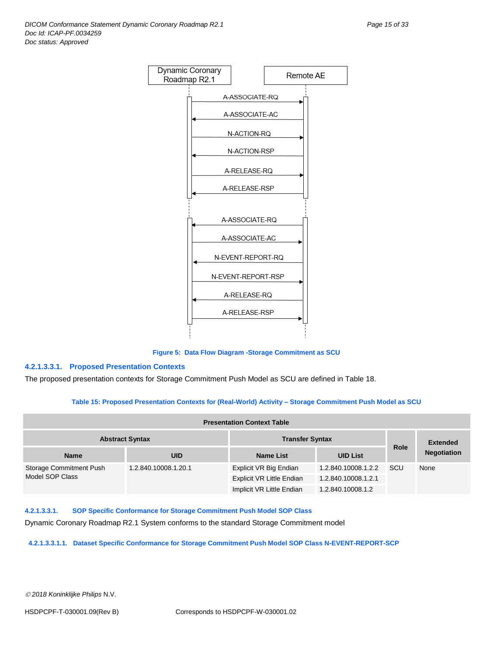

**Figure 5: Data Flow Diagram -Storage Commitment as SCU**

#### **4.2.1.3.3.1. Proposed Presentation Contexts**

The proposed presentation contexts for Storage Commitment Push Model as SCU are defined in Table 18.

#### **Table 15: Proposed Presentation Contexts for (Real-World) Activity – Storage Commitment Push Model as SCU**

| <b>Presentation Context Table</b> |                        |                                  |                     |             |                    |
|-----------------------------------|------------------------|----------------------------------|---------------------|-------------|--------------------|
|                                   | <b>Abstract Syntax</b> | <b>Transfer Syntax</b>           |                     |             | <b>Extended</b>    |
| <b>Name</b>                       | <b>UID</b>             | <b>Name List</b>                 | <b>UID List</b>     | <b>Role</b> | <b>Negotiation</b> |
| Storage Commitment Push           | 1.2.840.10008.1.20.1   | Explicit VR Big Endian           | 1.2.840.10008.1.2.2 | <b>SCU</b>  | None               |
| Model SOP Class                   |                        | <b>Explicit VR Little Endian</b> | 1.2.840.10008.1.2.1 |             |                    |
|                                   |                        | Implicit VR Little Endian        | 1.2.840.10008.1.2   |             |                    |

**4.2.1.3.3.1. SOP Specific Conformance for Storage Commitment Push Model SOP Class**

Dynamic Coronary Roadmap R2.1 System conforms to the standard Storage Commitment model

**4.2.1.3.3.1.1. Dataset Specific Conformance for Storage Commitment Push Model SOP Class N-EVENT-REPORT-SCP**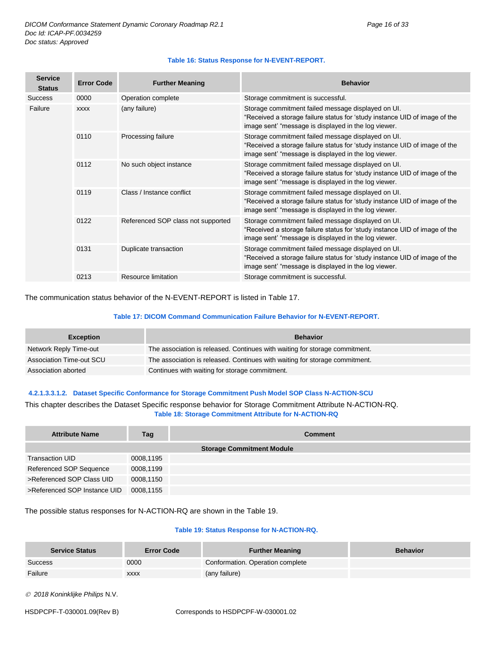| <b>Service</b><br><b>Status</b> | <b>Error Code</b> | <b>Further Meaning</b>             | <b>Behavior</b>                                                                                                                                                                          |
|---------------------------------|-------------------|------------------------------------|------------------------------------------------------------------------------------------------------------------------------------------------------------------------------------------|
| <b>Success</b>                  | 0000              | Operation complete                 | Storage commitment is successful.                                                                                                                                                        |
| Failure                         | <b>XXXX</b>       | (any failure)                      | Storage commitment failed message displayed on UI.<br>"Received a storage failure status for 'study instance UID of image of the<br>image sent' "message is displayed in the log viewer. |
|                                 | 0110              | Processing failure                 | Storage commitment failed message displayed on UI.<br>"Received a storage failure status for 'study instance UID of image of the<br>image sent' "message is displayed in the log viewer. |
|                                 | 0112              | No such object instance            | Storage commitment failed message displayed on UI.<br>"Received a storage failure status for 'study instance UID of image of the<br>image sent' "message is displayed in the log viewer. |
|                                 | 0119              | Class / Instance conflict          | Storage commitment failed message displayed on UI.<br>"Received a storage failure status for 'study instance UID of image of the<br>image sent' "message is displayed in the log viewer. |
|                                 | 0122              | Referenced SOP class not supported | Storage commitment failed message displayed on UI.<br>"Received a storage failure status for 'study instance UID of image of the<br>image sent' "message is displayed in the log viewer. |
|                                 | 0131              | Duplicate transaction              | Storage commitment failed message displayed on UI.<br>"Received a storage failure status for 'study instance UID of image of the<br>image sent' "message is displayed in the log viewer. |
|                                 | 0213              | Resource limitation                | Storage commitment is successful.                                                                                                                                                        |

#### **Table 16: Status Response for N-EVENT-REPORT.**

The communication status behavior of the N-EVENT-REPORT is listed in Table 17.

#### **Table 17: DICOM Command Communication Failure Behavior for N-EVENT-REPORT.**

| <b>Exception</b>         | <b>Behavior</b>                                                             |
|--------------------------|-----------------------------------------------------------------------------|
| Network Reply Time-out   | The association is released. Continues with waiting for storage commitment. |
| Association Time-out SCU | The association is released. Continues with waiting for storage commitment. |
| Association aborted      | Continues with waiting for storage commitment.                              |

#### **4.2.1.3.3.1.2. Dataset Specific Conformance for Storage Commitment Push Model SOP Class N-ACTION-SCU**

This chapter describes the Dataset Specific response behavior for Storage Commitment Attribute N-ACTION-RQ. **Table 18: Storage Commitment Attribute for N-ACTION-RQ**

| <b>Attribute Name</b>        | Tag       | <b>Comment</b>                   |
|------------------------------|-----------|----------------------------------|
|                              |           | <b>Storage Commitment Module</b> |
| Transaction UID              | 0008,1195 |                                  |
| Referenced SOP Sequence      | 0008,1199 |                                  |
| >Referenced SOP Class UID    | 0008,1150 |                                  |
| >Referenced SOP Instance UID | 0008,1155 |                                  |

The possible status responses for N-ACTION-RQ are shown in the Table 19.

#### **Table 19: Status Response for N-ACTION-RQ.**

| <b>Service Status</b> | <b>Error Code</b> | <b>Further Meaning</b>           | <b>Behavior</b> |
|-----------------------|-------------------|----------------------------------|-----------------|
| Success               | 0000              | Conformation. Operation complete |                 |
| Failure               | <b>XXXX</b>       | (any failure)                    |                 |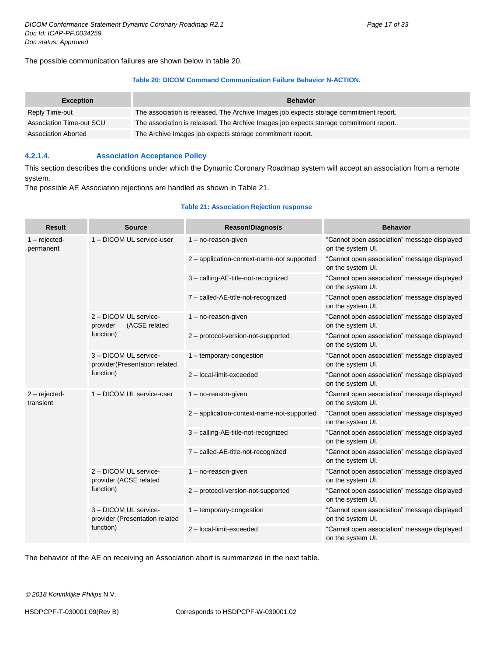The possible communication failures are shown below in table 20.

#### **Table 20: DICOM Command Communication Failure Behavior N-ACTION.**

| <b>Exception</b>           | <b>Behavior</b>                                                                        |
|----------------------------|----------------------------------------------------------------------------------------|
| Reply Time-out             | The association is released. The Archive Images job expects storage commitment report. |
| Association Time-out SCU   | The association is released. The Archive Images job expects storage commitment report. |
| <b>Association Aborted</b> | The Archive Images job expects storage commitment report.                              |

#### <span id="page-16-0"></span>**4.2.1.4. Association Acceptance Policy**

This section describes the conditions under which the Dynamic Coronary Roadmap system will accept an association from a remote system.

The possible AE Association rejections are handled as shown in Table 21.

#### **Table 21: Association Rejection response**

| <b>Result</b>                | <b>Source</b>                                                       | <b>Reason/Diagnosis</b>                    | <b>Behavior</b>                                                  |                                                                  |
|------------------------------|---------------------------------------------------------------------|--------------------------------------------|------------------------------------------------------------------|------------------------------------------------------------------|
| $1 -$ rejected-<br>permanent | 1 - DICOM UL service-user                                           | $1 - no$ -reason-given                     | "Cannot open association" message displayed<br>on the system UI. |                                                                  |
|                              |                                                                     | 2 - application-context-name-not supported | "Cannot open association" message displayed<br>on the system UI. |                                                                  |
|                              |                                                                     | 3 - calling-AE-title-not-recognized        | "Cannot open association" message displayed<br>on the system UI. |                                                                  |
|                              |                                                                     | 7 - called-AE-title-not-recognized         | "Cannot open association" message displayed<br>on the system UI. |                                                                  |
|                              | 2 - DICOM UL service-<br>(ACSE related<br>provider                  | 1 - no-reason-given                        | "Cannot open association" message displayed<br>on the system UI. |                                                                  |
|                              | function)                                                           | 2 - protocol-version-not-supported         | "Cannot open association" message displayed<br>on the system UI. |                                                                  |
|                              | 3 - DICOM UL service-<br>provider(Presentation related<br>function) | 1 - temporary-congestion                   | "Cannot open association" message displayed<br>on the system UI. |                                                                  |
|                              |                                                                     | 2 - local-limit-exceeded                   | "Cannot open association" message displayed<br>on the system UI. |                                                                  |
| $2 - rejected$<br>transient  | 1 - DICOM UL service-user                                           | $1 - no$ -reason-given                     | "Cannot open association" message displayed<br>on the system UI. |                                                                  |
|                              |                                                                     | 2 - application-context-name-not-supported | "Cannot open association" message displayed<br>on the system UI. |                                                                  |
|                              |                                                                     | 3 - calling-AE-title-not-recognized        | "Cannot open association" message displayed<br>on the system UI. |                                                                  |
|                              |                                                                     | 7 - called-AE-title-not-recognized         | "Cannot open association" message displayed<br>on the system UI. |                                                                  |
|                              | 2 - DICOM UL service-<br>provider (ACSE related                     | $1 - no$ -reason-given                     | "Cannot open association" message displayed<br>on the system UI. |                                                                  |
|                              | function)                                                           | 2 - protocol-version-not-supported         | "Cannot open association" message displayed<br>on the system UI. |                                                                  |
|                              | 3 - DICOM UL service-<br>provider (Presentation related             | $1 -$ temporary-congestion                 | "Cannot open association" message displayed<br>on the system UI. |                                                                  |
|                              |                                                                     | function)                                  | 2-local-limit-exceeded                                           | "Cannot open association" message displayed<br>on the system UI. |

The behavior of the AE on receiving an Association abort is summarized in the next table.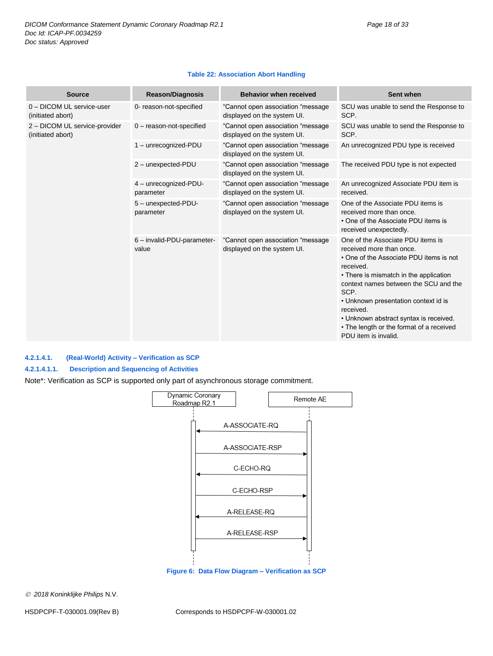#### **Table 22: Association Abort Handling**

| <b>Source</b>                                      | <b>Reason/Diagnosis</b>             | <b>Behavior when received</b>                                    | Sent when                                                                                                                                                                                                                                                                                                                                                                           |
|----------------------------------------------------|-------------------------------------|------------------------------------------------------------------|-------------------------------------------------------------------------------------------------------------------------------------------------------------------------------------------------------------------------------------------------------------------------------------------------------------------------------------------------------------------------------------|
| 0 - DICOM UL service-user<br>(initiated abort)     | 0- reason-not-specified             | "Cannot open association "message<br>displayed on the system UI. | SCU was unable to send the Response to<br>SCP.                                                                                                                                                                                                                                                                                                                                      |
| 2 - DICOM UL service-provider<br>(initiated abort) | $0$ - reason-not-specified          | "Cannot open association "message<br>displayed on the system UI. | SCU was unable to send the Response to<br>SCP.                                                                                                                                                                                                                                                                                                                                      |
|                                                    | 1 - unrecognized-PDU                | "Cannot open association "message<br>displayed on the system UI. | An unrecognized PDU type is received                                                                                                                                                                                                                                                                                                                                                |
|                                                    | 2 - unexpected-PDU                  | "Cannot open association "message<br>displayed on the system UI. | The received PDU type is not expected                                                                                                                                                                                                                                                                                                                                               |
|                                                    | 4 - unrecognized-PDU-<br>parameter  | "Cannot open association "message<br>displayed on the system UI. | An unrecognized Associate PDU item is<br>received.                                                                                                                                                                                                                                                                                                                                  |
|                                                    | 5 - unexpected-PDU-<br>parameter    | "Cannot open association "message<br>displayed on the system UI. | One of the Associate PDU items is<br>received more than once.<br>• One of the Associate PDU items is<br>received unexpectedly.                                                                                                                                                                                                                                                      |
|                                                    | 6 - invalid-PDU-parameter-<br>value | "Cannot open association "message<br>displayed on the system UI. | One of the Associate PDU items is<br>received more than once.<br>• One of the Associate PDU items is not<br>received.<br>• There is mismatch in the application<br>context names between the SCU and the<br>SCP.<br>• Unknown presentation context id is<br>received.<br>• Unknown abstract syntax is received.<br>• The length or the format of a received<br>PDU item is invalid. |

#### <span id="page-17-0"></span>**4.2.1.4.1. (Real-World) Activity – Verification as SCP**

#### **4.2.1.4.1.1. Description and Sequencing of Activities**

Note\*: Verification as SCP is supported only part of asynchronous storage commitment.

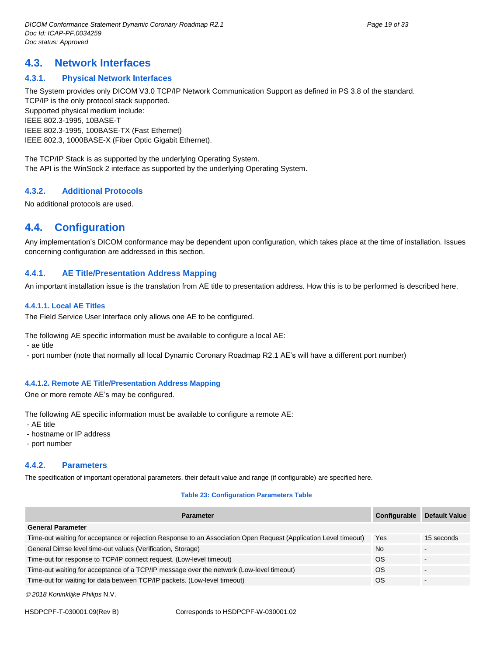# <span id="page-18-0"></span>**4.3. Network Interfaces**

#### <span id="page-18-1"></span>**4.3.1. Physical Network Interfaces**

The System provides only DICOM V3.0 TCP/IP Network Communication Support as defined in PS 3.8 of the standard. TCP/IP is the only protocol stack supported. Supported physical medium include: IEEE 802.3-1995, 10BASE-T IEEE 802.3-1995, 100BASE-TX (Fast Ethernet) IEEE 802.3, 1000BASE-X (Fiber Optic Gigabit Ethernet).

The TCP/IP Stack is as supported by the underlying Operating System. The API is the WinSock 2 interface as supported by the underlying Operating System.

#### <span id="page-18-2"></span>**4.3.2. Additional Protocols**

No additional protocols are used.

# <span id="page-18-3"></span>**4.4. Configuration**

Any implementation's DICOM conformance may be dependent upon configuration, which takes place at the time of installation. Issues concerning configuration are addressed in this section.

#### <span id="page-18-4"></span>**4.4.1. AE Title/Presentation Address Mapping**

An important installation issue is the translation from AE title to presentation address. How this is to be performed is described here.

#### <span id="page-18-5"></span>**4.4.1.1. Local AE Titles**

The Field Service User Interface only allows one AE to be configured.

The following AE specific information must be available to configure a local AE:

- ae title

- port number (note that normally all local Dynamic Coronary Roadmap R2.1 AE's will have a different port number)

#### <span id="page-18-6"></span>**4.4.1.2. Remote AE Title/Presentation Address Mapping**

One or more remote AE's may be configured.

The following AE specific information must be available to configure a remote AE:

- AE title
- hostname or IP address
- port number

#### <span id="page-18-7"></span>**4.4.2. Parameters**

The specification of important operational parameters, their default value and range (if configurable) are specified here.

#### **Table 23: Configuration Parameters Table**

| <b>Parameter</b>                                                                                                 | Configurable | <b>Default Value</b> |
|------------------------------------------------------------------------------------------------------------------|--------------|----------------------|
| <b>General Parameter</b>                                                                                         |              |                      |
| Time-out waiting for acceptance or rejection Response to an Association Open Request (Application Level timeout) | Yes          | 15 seconds           |
| General Dimse level time-out values (Verification, Storage)                                                      | <b>No</b>    |                      |
| Time-out for response to TCP/IP connect request. (Low-level timeout)                                             | <b>OS</b>    |                      |
| Time-out waiting for acceptance of a TCP/IP message over the network (Low-level timeout)                         | ΟS           |                      |
| Time-out for waiting for data between TCP/IP packets. (Low-level timeout)                                        | ΟS           |                      |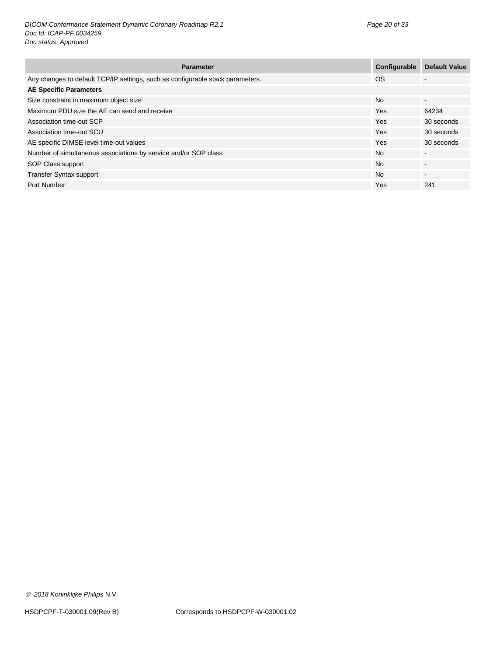| <b>Parameter</b>                                                               | Configurable | <b>Default Value</b>     |
|--------------------------------------------------------------------------------|--------------|--------------------------|
| Any changes to default TCP/IP settings, such as configurable stack parameters. | <b>OS</b>    | -                        |
| <b>AE Specific Parameters</b>                                                  |              |                          |
| Size constraint in maximum object size                                         | <b>No</b>    | $\sim$                   |
| Maximum PDU size the AE can send and receive                                   | <b>Yes</b>   | 64234                    |
| Association time-out SCP                                                       | Yes          | 30 seconds               |
| Association time-out SCU                                                       | <b>Yes</b>   | 30 seconds               |
| AE specific DIMSE level time-out values                                        | <b>Yes</b>   | 30 seconds               |
| Number of simultaneous associations by service and/or SOP class                | <b>No</b>    | ٠                        |
| SOP Class support                                                              | <b>No</b>    | $\overline{\phantom{a}}$ |
| <b>Transfer Syntax support</b>                                                 | <b>No</b>    | -                        |
| Port Number                                                                    | Yes          | 241                      |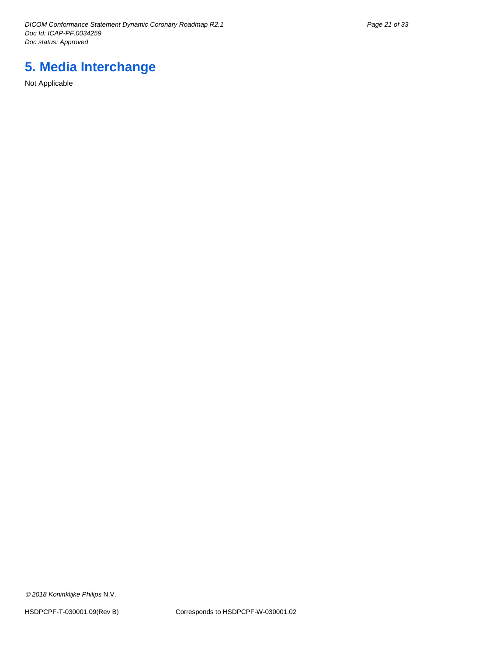*DICOM Conformance Statement Dynamic Coronary Roadmap R2.1 Page 21 of 33 Doc Id: ICAP-PF.0034259 Doc status: Approved*

# <span id="page-20-0"></span>**5. Media Interchange**

Not Applicable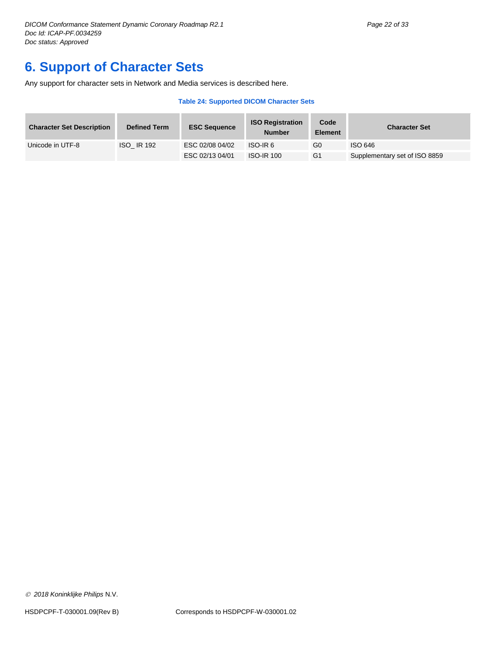# <span id="page-21-0"></span>**6. Support of Character Sets**

Any support for character sets in Network and Media services is described here.

#### **Table 24: Supported DICOM Character Sets**

| <b>Character Set Description</b> | <b>Defined Term</b> | <b>ESC Sequence</b> | <b>ISO Registration</b><br><b>Number</b> | Code<br><b>Element</b> | <b>Character Set</b>          |
|----------------------------------|---------------------|---------------------|------------------------------------------|------------------------|-------------------------------|
| Unicode in UTF-8                 | <b>ISO IR 192</b>   | ESC 02/08 04/02     | ISO-IR 6                                 | G0                     | ISO 646                       |
|                                  |                     | ESC 02/13 04/01     | <b>ISO-IR 100</b>                        | G <sub>1</sub>         | Supplementary set of ISO 8859 |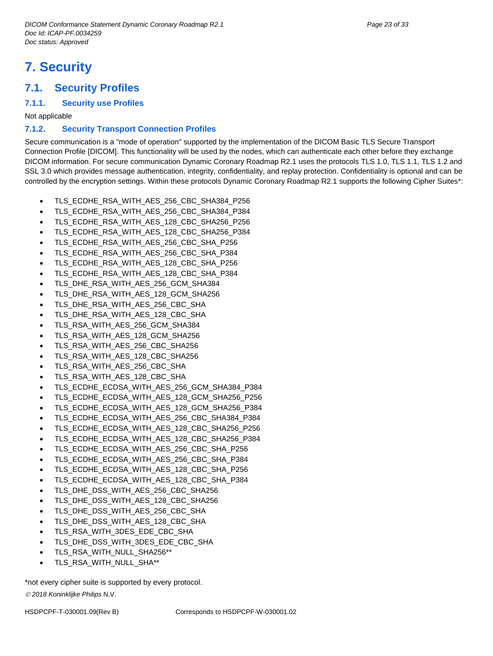# <span id="page-22-0"></span>**7. Security**

# <span id="page-22-1"></span>**7.1. Security Profiles**

#### <span id="page-22-2"></span>**7.1.1. Security use Profiles**

Not applicable

#### <span id="page-22-3"></span>**7.1.2. Security Transport Connection Profiles**

Secure communication is a "mode of operation" supported by the implementation of the DICOM Basic TLS Secure Transport Connection Profile [DICOM]. This functionality will be used by the nodes, which can authenticate each other before they exchange DICOM information. For secure communication Dynamic Coronary Roadmap R2.1 uses the protocols TLS 1.0, TLS 1.1, TLS 1.2 and SSL 3.0 which provides message authentication, integrity, confidentiality, and replay protection. Confidentiality is optional and can be controlled by the encryption settings. Within these protocols Dynamic Coronary Roadmap R2.1 supports the following Cipher Suites\*:

- TLS\_ECDHE\_RSA\_WITH\_AES\_256\_CBC\_SHA384\_P256
- TLS\_ECDHE\_RSA\_WITH\_AES\_256\_CBC\_SHA384\_P384
- TLS\_ECDHE\_RSA\_WITH\_AES\_128\_CBC\_SHA256\_P256
- TLS\_ECDHE\_RSA\_WITH\_AES\_128\_CBC\_SHA256\_P384
- TLS\_ECDHE\_RSA\_WITH\_AES\_256\_CBC\_SHA\_P256
- TLS\_ECDHE\_RSA\_WITH\_AES\_256\_CBC\_SHA\_P384
- TLS\_ECDHE\_RSA\_WITH\_AES\_128\_CBC\_SHA\_P256
- TLS\_ECDHE\_RSA\_WITH\_AES\_128\_CBC\_SHA\_P384
- TLS\_DHE\_RSA\_WITH\_AES\_256\_GCM\_SHA384
- TLS\_DHE\_RSA\_WITH\_AES\_128\_GCM\_SHA256
- TLS\_DHE\_RSA\_WITH\_AES\_256\_CBC\_SHA
- TLS\_DHE\_RSA\_WITH\_AES\_128\_CBC\_SHA
- TLS\_RSA\_WITH\_AES\_256\_GCM\_SHA384
- TLS\_RSA\_WITH\_AES\_128\_GCM\_SHA256
- TLS\_RSA\_WITH\_AES\_256\_CBC\_SHA256
- TLS\_RSA\_WITH\_AES\_128\_CBC\_SHA256
- TLS\_RSA\_WITH\_AES\_256\_CBC\_SHA
- TLS\_RSA\_WITH\_AES\_128\_CBC\_SHA
- TLS\_ECDHE\_ECDSA\_WITH\_AES\_256\_GCM\_SHA384\_P384
- TLS\_ECDHE\_ECDSA\_WITH\_AES\_128\_GCM\_SHA256\_P256
- TLS\_ECDHE\_ECDSA\_WITH\_AES\_128\_GCM\_SHA256\_P384
- TLS\_ECDHE\_ECDSA\_WITH\_AES\_256\_CBC\_SHA384\_P384
- TLS\_ECDHE\_ECDSA\_WITH\_AES\_128\_CBC\_SHA256\_P256
- TLS\_ECDHE\_ECDSA\_WITH\_AES\_128\_CBC\_SHA256\_P384
- TLS\_ECDHE\_ECDSA\_WITH\_AES\_256\_CBC\_SHA\_P256
- TLS\_ECDHE\_ECDSA\_WITH\_AES\_256\_CBC\_SHA\_P384
- TLS\_ECDHE\_ECDSA\_WITH\_AES\_128\_CBC\_SHA\_P256
- TLS\_ECDHE\_ECDSA\_WITH\_AES\_128\_CBC\_SHA\_P384
- TLS\_DHE\_DSS\_WITH\_AES\_256\_CBC\_SHA256
- TLS\_DHE\_DSS\_WITH\_AES\_128\_CBC\_SHA256
- TLS\_DHE\_DSS\_WITH\_AES\_256\_CBC\_SHA
- TLS\_DHE\_DSS\_WITH\_AES\_128\_CBC\_SHA
- TLS\_RSA\_WITH\_3DES\_EDE\_CBC\_SHA
- TLS\_DHE\_DSS\_WITH\_3DES\_EDE\_CBC\_SHA
- TLS\_RSA\_WITH\_NULL\_SHA256\*\*
- TLS\_RSA\_WITH\_NULL\_SHA\*\*

\*not every cipher suite is supported by every protocol.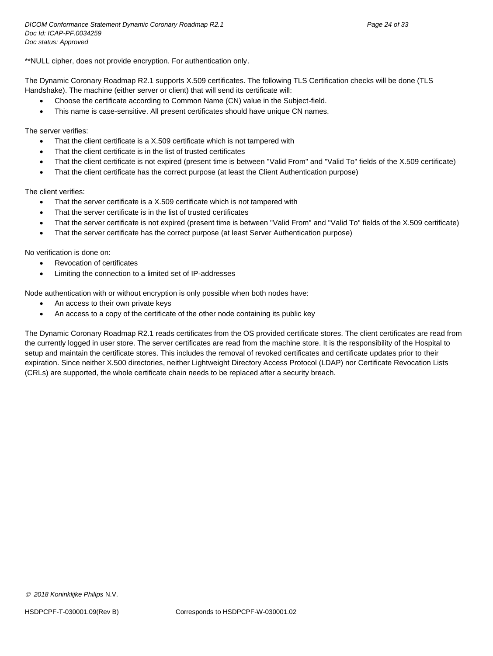\*\*NULL cipher, does not provide encryption. For authentication only.

The Dynamic Coronary Roadmap R2.1 supports X.509 certificates. The following TLS Certification checks will be done (TLS Handshake). The machine (either server or client) that will send its certificate will:

- Choose the certificate according to Common Name (CN) value in the Subject-field.
- This name is case-sensitive. All present certificates should have unique CN names.

The server verifies:

- That the client certificate is a X.509 certificate which is not tampered with
- That the client certificate is in the list of trusted certificates
- That the client certificate is not expired (present time is between "Valid From" and "Valid To" fields of the X.509 certificate)
- That the client certificate has the correct purpose (at least the Client Authentication purpose)

The client verifies:

- That the server certificate is a X.509 certificate which is not tampered with
- That the server certificate is in the list of trusted certificates
- That the server certificate is not expired (present time is between "Valid From" and "Valid To" fields of the X.509 certificate)
- That the server certificate has the correct purpose (at least Server Authentication purpose)

No verification is done on:

- Revocation of certificates
- Limiting the connection to a limited set of IP-addresses

Node authentication with or without encryption is only possible when both nodes have:

- An access to their own private keys
- An access to a copy of the certificate of the other node containing its public key

The Dynamic Coronary Roadmap R2.1 reads certificates from the OS provided certificate stores. The client certificates are read from the currently logged in user store. The server certificates are read from the machine store. It is the responsibility of the Hospital to setup and maintain the certificate stores. This includes the removal of revoked certificates and certificate updates prior to their expiration. Since neither X.500 directories, neither Lightweight Directory Access Protocol (LDAP) nor Certificate Revocation Lists (CRLs) are supported, the whole certificate chain needs to be replaced after a security breach.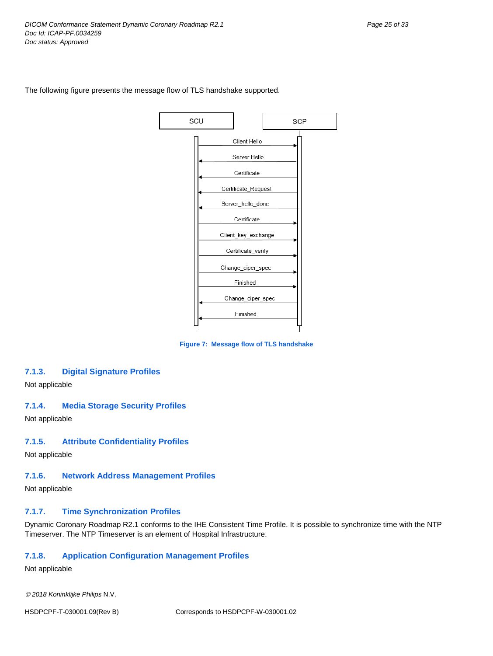

The following figure presents the message flow of TLS handshake supported.

**Figure 7: Message flow of TLS handshake**

#### <span id="page-24-0"></span>**7.1.3. Digital Signature Profiles**

Not applicable

#### <span id="page-24-1"></span>**7.1.4. Media Storage Security Profiles**

Not applicable

#### <span id="page-24-2"></span>**7.1.5. Attribute Confidentiality Profiles**

Not applicable

## <span id="page-24-3"></span>**7.1.6. Network Address Management Profiles**

Not applicable

## <span id="page-24-4"></span>**7.1.7. Time Synchronization Profiles**

Dynamic Coronary Roadmap R2.1 conforms to the IHE Consistent Time Profile. It is possible to synchronize time with the NTP Timeserver. The NTP Timeserver is an element of Hospital Infrastructure.

## <span id="page-24-5"></span>**7.1.8. Application Configuration Management Profiles**

Not applicable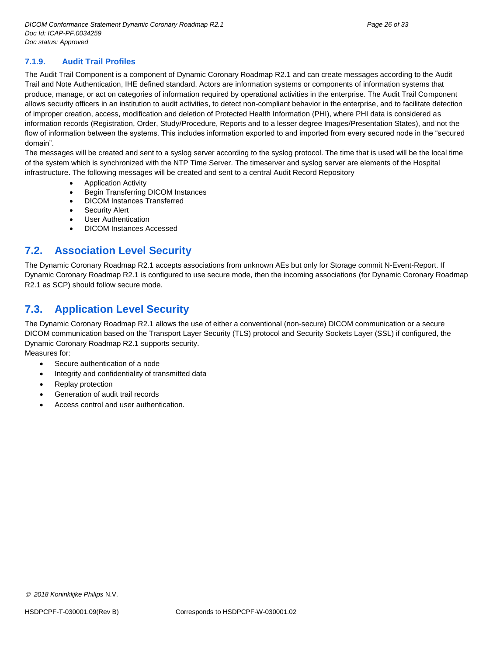#### <span id="page-25-0"></span>**7.1.9. Audit Trail Profiles**

The Audit Trail Component is a component of Dynamic Coronary Roadmap R2.1 and can create messages according to the Audit Trail and Note Authentication, IHE defined standard. Actors are information systems or components of information systems that produce, manage, or act on categories of information required by operational activities in the enterprise. The Audit Trail Component allows security officers in an institution to audit activities, to detect non-compliant behavior in the enterprise, and to facilitate detection of improper creation, access, modification and deletion of Protected Health Information (PHI), where PHI data is considered as information records (Registration, Order, Study/Procedure, Reports and to a lesser degree Images/Presentation States), and not the flow of information between the systems. This includes information exported to and imported from every secured node in the "secured domain".

The messages will be created and sent to a syslog server according to the syslog protocol. The time that is used will be the local time of the system which is synchronized with the NTP Time Server. The timeserver and syslog server are elements of the Hospital infrastructure. The following messages will be created and sent to a central Audit Record Repository

- Application Activity
- Begin Transferring DICOM Instances
- DICOM Instances Transferred
- Security Alert
- User Authentication
- DICOM Instances Accessed

# <span id="page-25-1"></span>**7.2. Association Level Security**

The Dynamic Coronary Roadmap R2.1 accepts associations from unknown AEs but only for Storage commit N-Event-Report. If Dynamic Coronary Roadmap R2.1 is configured to use secure mode, then the incoming associations (for Dynamic Coronary Roadmap R2.1 as SCP) should follow secure mode.

# <span id="page-25-2"></span>**7.3. Application Level Security**

The Dynamic Coronary Roadmap R2.1 allows the use of either a conventional (non-secure) DICOM communication or a secure DICOM communication based on the Transport Layer Security (TLS) protocol and Security Sockets Layer (SSL) if configured, the Dynamic Coronary Roadmap R2.1 supports security.

Measures for:

- Secure authentication of a node
- Integrity and confidentiality of transmitted data
- Replay protection
- Generation of audit trail records
- Access control and user authentication.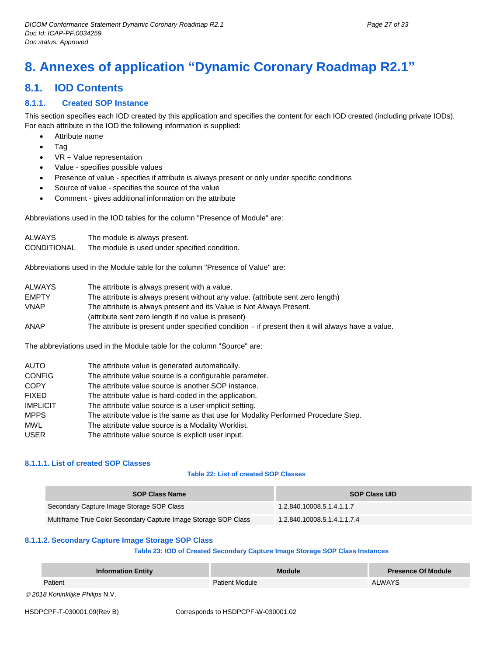# <span id="page-26-0"></span>**8. Annexes of application "Dynamic Coronary Roadmap R2.1"**

# <span id="page-26-1"></span>**8.1. IOD Contents**

## <span id="page-26-2"></span>**8.1.1. Created SOP Instance**

This section specifies each IOD created by this application and specifies the content for each IOD created (including private IODs). For each attribute in the IOD the following information is supplied:

- Attribute name
- Tag
- VR Value representation
- Value specifies possible values
- Presence of value specifies if attribute is always present or only under specific conditions
- Source of value specifies the source of the value
- Comment gives additional information on the attribute

Abbreviations used in the IOD tables for the column "Presence of Module" are:

| ALWAYS.     | The module is always present.                 |
|-------------|-----------------------------------------------|
| CONDITIONAL | The module is used under specified condition. |

Abbreviations used in the Module table for the column "Presence of Value" are:

| The attribute is always present without any value. (attribute sent zero length)                     |
|-----------------------------------------------------------------------------------------------------|
| The attribute is always present and its Value is Not Always Present.                                |
|                                                                                                     |
| The attribute is present under specified condition $-$ if present then it will always have a value. |
|                                                                                                     |

The abbreviations used in the Module table for the column "Source" are:

| <b>AUTO</b>     | The attribute value is generated automatically.                                    |
|-----------------|------------------------------------------------------------------------------------|
| <b>CONFIG</b>   | The attribute value source is a configurable parameter.                            |
| <b>COPY</b>     | The attribute value source is another SOP instance.                                |
| <b>FIXED</b>    | The attribute value is hard-coded in the application.                              |
| <b>IMPLICIT</b> | The attribute value source is a user-implicit setting.                             |
| <b>MPPS</b>     | The attribute value is the same as that use for Modality Performed Procedure Step. |
| <b>MWL</b>      | The attribute value source is a Modality Worklist.                                 |
| <b>USER</b>     | The attribute value source is explicit user input.                                 |

#### <span id="page-26-3"></span>**8.1.1.1. List of created SOP Classes**

#### **Table 22: List of created SOP Classes**

| <b>SOP Class Name</b>                                           | <b>SOP Class UID</b>        |
|-----------------------------------------------------------------|-----------------------------|
| Secondary Capture Image Storage SOP Class                       | 1.2.840.10008.5.1.4.1.1.7   |
| Multiframe True Color Secondary Capture Image Storage SOP Class | 1.2.840.10008.5.1.4.1.1.7.4 |

#### <span id="page-26-4"></span>**8.1.1.2. Secondary Capture Image Storage SOP Class**

#### **Table 23: IOD of Created Secondary Capture Image Storage SOP Class Instances**

| <b>Information Entity</b>       | <b>Module</b>         | Presence Of Module |
|---------------------------------|-----------------------|--------------------|
| Patient                         | <b>Patient Module</b> | ALWAYS             |
| © 2018 Koninklijke Philips N.V. |                       |                    |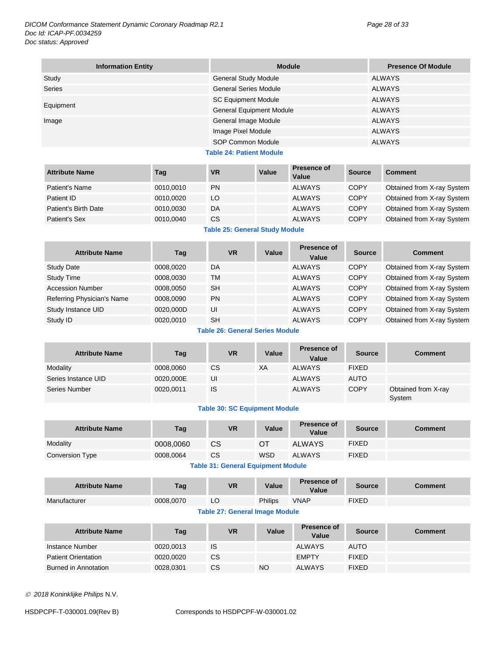| <b>Information Entity</b> | <b>Module</b>                | <b>Presence Of Module</b> |
|---------------------------|------------------------------|---------------------------|
| Study                     | <b>General Study Module</b>  | ALWAYS                    |
| <b>Series</b>             | <b>General Series Module</b> | <b>ALWAYS</b>             |
|                           | <b>SC Equipment Module</b>   | ALWAYS                    |
| Equipment                 | General Equipment Module     | ALWAYS                    |
| Image                     | General Image Module         | <b>ALWAYS</b>             |
|                           | Image Pixel Module           | <b>ALWAYS</b>             |
|                           | SOP Common Module            | <b>ALWAYS</b>             |

**Table 24: Patient Module**

| <b>Attribute Name</b>           | Tag       | VR        | Value | Presence of<br>Value | <b>Source</b> | <b>Comment</b>             |
|---------------------------------|-----------|-----------|-------|----------------------|---------------|----------------------------|
| Patient's Name                  | 0010.0010 | <b>PN</b> |       | <b>ALWAYS</b>        | <b>COPY</b>   | Obtained from X-ray System |
| Patient ID                      | 0010.0020 | LO        |       | <b>ALWAYS</b>        | <b>COPY</b>   | Obtained from X-ray System |
| Patient's Birth Date            | 0010.0030 | DA        |       | <b>ALWAYS</b>        | <b>COPY</b>   | Obtained from X-ray System |
| Patient's Sex                   | 0010,0040 | <b>CS</b> |       | <b>ALWAYS</b>        | <b>COPY</b>   | Obtained from X-ray System |
| Table OF: Canaral Chidir Madula |           |           |       |                      |               |                            |

**Table 25: General Study Module**

| <b>Attribute Name</b>      | Taq       | <b>VR</b> | Value | Presence of<br>Value | <b>Source</b> | <b>Comment</b>             |
|----------------------------|-----------|-----------|-------|----------------------|---------------|----------------------------|
| <b>Study Date</b>          | 0008.0020 | DA        |       | <b>ALWAYS</b>        | <b>COPY</b>   | Obtained from X-ray System |
| <b>Study Time</b>          | 0008.0030 | <b>TM</b> |       | <b>ALWAYS</b>        | <b>COPY</b>   | Obtained from X-ray System |
| Accession Number           | 0008.0050 | <b>SH</b> |       | <b>ALWAYS</b>        | COPY          | Obtained from X-ray System |
| Referring Physician's Name | 0008.0090 | <b>PN</b> |       | <b>ALWAYS</b>        | <b>COPY</b>   | Obtained from X-ray System |
| Study Instance UID         | 0020,000D | UI        |       | <b>ALWAYS</b>        | COPY          | Obtained from X-ray System |
| Study ID                   | 0020,0010 | <b>SH</b> |       | <b>ALWAYS</b>        | <b>COPY</b>   | Obtained from X-ray System |

**Table 26: General Series Module**

| <b>Attribute Name</b> | Tag       | <b>VR</b> | Value | Presence of<br>Value | <b>Source</b> | <b>Comment</b>                |
|-----------------------|-----------|-----------|-------|----------------------|---------------|-------------------------------|
| Modality              | 0008,0060 | CS        | XA    | ALWAYS               | <b>FIXED</b>  |                               |
| Series Instance UID   | 0020,000E | UI        |       | <b>ALWAYS</b>        | <b>AUTO</b>   |                               |
| Series Number         | 0020,0011 | IS        |       | <b>ALWAYS</b>        | <b>COPY</b>   | Obtained from X-ray<br>System |

## **Table 30: SC Equipment Module**

| <b>Attribute Name</b> | Tag       | <b>VR</b>          | Value      | <b>Presence of</b><br>Value | <b>Source</b> | <b>Comment</b> |
|-----------------------|-----------|--------------------|------------|-----------------------------|---------------|----------------|
| Modality              | 0008,0060 | СS                 | OT         | <b>ALWAYS</b>               | <b>FIXED</b>  |                |
| Conversion Type       | 0008,0064 | CS                 | <b>WSD</b> | <b>ALWAYS</b>               | <b>FIXED</b>  |                |
|                       |           | _ _ _ _ _ _<br>. . |            | .                           |               |                |

#### **Table 31: General Equipment Module**

| <b>Attribute Name</b> | Tag       | <b>VR</b> | Value          | Presence of<br>Value | <b>Source</b> | Comment |
|-----------------------|-----------|-----------|----------------|----------------------|---------------|---------|
| Manufacturer          | 0008.0070 | ᄔ         | <b>Philips</b> | <b>VNAP</b>          | <b>FIXED</b>  |         |

#### **Table 27: General Image Module**

| <b>Attribute Name</b>      | Tag       | <b>VR</b> | Value | Presence of<br>Value | <b>Source</b> | <b>Comment</b> |
|----------------------------|-----------|-----------|-------|----------------------|---------------|----------------|
| Instance Number            | 0020,0013 | <b>IS</b> |       | <b>ALWAYS</b>        | <b>AUTO</b>   |                |
| <b>Patient Orientation</b> | 0020.0020 | <b>CS</b> |       | <b>EMPTY</b>         | <b>FIXED</b>  |                |
| Burned in Annotation       | 0028,0301 | <b>CS</b> | NO    | <b>ALWAYS</b>        | <b>FIXED</b>  |                |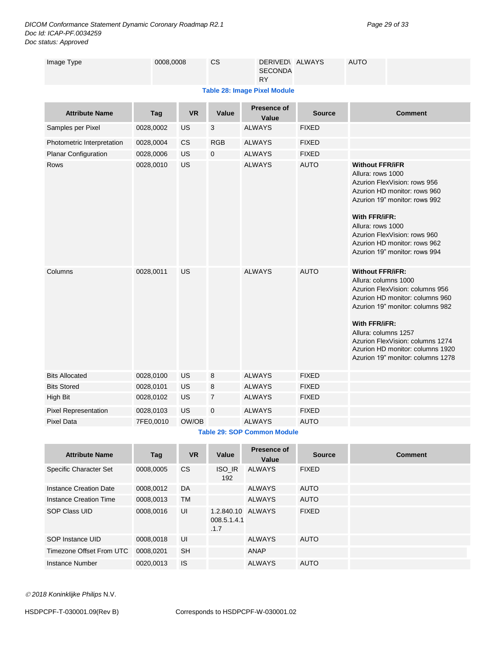*DICOM Conformance Statement Dynamic Coronary Roadmap R2.1 Page 29 of 33 Doc Id: ICAP-PF.0034259 Doc status: Approved*

| <b>Table 28: Image Pixel Module</b><br>Presence of<br><b>VR</b><br>Value<br><b>Attribute Name</b><br>Tag<br><b>Source</b><br><b>Comment</b><br>Value<br>US<br>3<br><b>ALWAYS</b><br><b>FIXED</b><br>Samples per Pixel<br>0028,0002<br><b>RGB</b><br><b>CS</b><br><b>ALWAYS</b><br><b>FIXED</b><br>Photometric Interpretation<br>0028,0004<br><b>FIXED</b><br>US<br>$\mathbf 0$<br><b>ALWAYS</b><br>Planar Configuration<br>0028,0006<br><b>AUTO</b><br>US<br><b>ALWAYS</b><br>Rows<br>0028,0010<br><b>Without FFR/iFR</b><br>Allura: rows 1000<br>Azurion FlexVision: rows 956<br>Azurion HD monitor: rows 960<br>Azurion 19" monitor: rows 992<br>With FFR/iFR:<br>Allura: rows 1000<br>Azurion FlexVision: rows 960<br>Azurion HD monitor: rows 962<br>Azurion 19" monitor: rows 994<br><b>Without FFR/iFR:</b><br><b>US</b><br><b>ALWAYS</b><br><b>AUTO</b><br>Columns<br>0028,0011<br>Allura: columns 1000<br>Azurion FlexVision: columns 956<br>Azurion HD monitor: columns 960<br>Azurion 19" monitor: columns 982<br>With FFR/iFR:<br>Allura: columns 1257<br>Azurion FlexVision: columns 1274<br>Azurion HD monitor: columns 1920<br>Azurion 19" monitor: columns 1278<br><b>Bits Allocated</b><br>US<br><b>ALWAYS</b><br><b>FIXED</b><br>0028,0100<br>8<br><b>Bits Stored</b><br>8<br><b>FIXED</b><br>0028,0101<br>US<br><b>ALWAYS</b><br>$\overline{7}$<br><b>FIXED</b><br>High Bit<br>0028,0102<br>US<br><b>ALWAYS</b> | Image Type | 0008,0008 |  | CS | DERIVED\ ALWAYS<br><b>SECONDA</b><br><b>RY</b> |  | <b>AUTO</b> |  |  |  |  |
|-----------------------------------------------------------------------------------------------------------------------------------------------------------------------------------------------------------------------------------------------------------------------------------------------------------------------------------------------------------------------------------------------------------------------------------------------------------------------------------------------------------------------------------------------------------------------------------------------------------------------------------------------------------------------------------------------------------------------------------------------------------------------------------------------------------------------------------------------------------------------------------------------------------------------------------------------------------------------------------------------------------------------------------------------------------------------------------------------------------------------------------------------------------------------------------------------------------------------------------------------------------------------------------------------------------------------------------------------------------------------------------------------------------------------------------|------------|-----------|--|----|------------------------------------------------|--|-------------|--|--|--|--|
|                                                                                                                                                                                                                                                                                                                                                                                                                                                                                                                                                                                                                                                                                                                                                                                                                                                                                                                                                                                                                                                                                                                                                                                                                                                                                                                                                                                                                                   |            |           |  |    |                                                |  |             |  |  |  |  |
|                                                                                                                                                                                                                                                                                                                                                                                                                                                                                                                                                                                                                                                                                                                                                                                                                                                                                                                                                                                                                                                                                                                                                                                                                                                                                                                                                                                                                                   |            |           |  |    |                                                |  |             |  |  |  |  |
|                                                                                                                                                                                                                                                                                                                                                                                                                                                                                                                                                                                                                                                                                                                                                                                                                                                                                                                                                                                                                                                                                                                                                                                                                                                                                                                                                                                                                                   |            |           |  |    |                                                |  |             |  |  |  |  |
|                                                                                                                                                                                                                                                                                                                                                                                                                                                                                                                                                                                                                                                                                                                                                                                                                                                                                                                                                                                                                                                                                                                                                                                                                                                                                                                                                                                                                                   |            |           |  |    |                                                |  |             |  |  |  |  |
|                                                                                                                                                                                                                                                                                                                                                                                                                                                                                                                                                                                                                                                                                                                                                                                                                                                                                                                                                                                                                                                                                                                                                                                                                                                                                                                                                                                                                                   |            |           |  |    |                                                |  |             |  |  |  |  |
|                                                                                                                                                                                                                                                                                                                                                                                                                                                                                                                                                                                                                                                                                                                                                                                                                                                                                                                                                                                                                                                                                                                                                                                                                                                                                                                                                                                                                                   |            |           |  |    |                                                |  |             |  |  |  |  |
|                                                                                                                                                                                                                                                                                                                                                                                                                                                                                                                                                                                                                                                                                                                                                                                                                                                                                                                                                                                                                                                                                                                                                                                                                                                                                                                                                                                                                                   |            |           |  |    |                                                |  |             |  |  |  |  |
|                                                                                                                                                                                                                                                                                                                                                                                                                                                                                                                                                                                                                                                                                                                                                                                                                                                                                                                                                                                                                                                                                                                                                                                                                                                                                                                                                                                                                                   |            |           |  |    |                                                |  |             |  |  |  |  |
|                                                                                                                                                                                                                                                                                                                                                                                                                                                                                                                                                                                                                                                                                                                                                                                                                                                                                                                                                                                                                                                                                                                                                                                                                                                                                                                                                                                                                                   |            |           |  |    |                                                |  |             |  |  |  |  |
|                                                                                                                                                                                                                                                                                                                                                                                                                                                                                                                                                                                                                                                                                                                                                                                                                                                                                                                                                                                                                                                                                                                                                                                                                                                                                                                                                                                                                                   |            |           |  |    |                                                |  |             |  |  |  |  |
| US<br>$\mathbf 0$<br><b>Pixel Representation</b><br><b>ALWAYS</b><br><b>FIXED</b><br>0028,0103                                                                                                                                                                                                                                                                                                                                                                                                                                                                                                                                                                                                                                                                                                                                                                                                                                                                                                                                                                                                                                                                                                                                                                                                                                                                                                                                    |            |           |  |    |                                                |  |             |  |  |  |  |
| OW/OB<br><b>Pixel Data</b><br>7FE0,0010<br><b>ALWAYS</b><br><b>AUTO</b>                                                                                                                                                                                                                                                                                                                                                                                                                                                                                                                                                                                                                                                                                                                                                                                                                                                                                                                                                                                                                                                                                                                                                                                                                                                                                                                                                           |            |           |  |    |                                                |  |             |  |  |  |  |

**Table 29: SOP Common Module**

| <b>Attribute Name</b>    | Tag       | <b>VR</b> | Value                             | Presence of<br>Value | <b>Source</b> | <b>Comment</b> |
|--------------------------|-----------|-----------|-----------------------------------|----------------------|---------------|----------------|
| Specific Character Set   | 0008,0005 | <b>CS</b> | <b>ISO IR</b><br>192              | <b>ALWAYS</b>        | <b>FIXED</b>  |                |
| Instance Creation Date   | 0008,0012 | DA        |                                   | <b>ALWAYS</b>        | <b>AUTO</b>   |                |
| Instance Creation Time   | 0008,0013 | <b>TM</b> |                                   | <b>ALWAYS</b>        | <b>AUTO</b>   |                |
| SOP Class UID            | 0008.0016 | UI        | 1.2.840.10<br>008.5.1.4.1<br>.1.7 | ALWAYS               | <b>FIXED</b>  |                |
| SOP Instance UID         | 0008.0018 | UI        |                                   | ALWAYS               | <b>AUTO</b>   |                |
| Timezone Offset From UTC | 0008,0201 | <b>SH</b> |                                   | ANAP                 |               |                |
| Instance Number          | 0020,0013 | <b>IS</b> |                                   | <b>ALWAYS</b>        | <b>AUTO</b>   |                |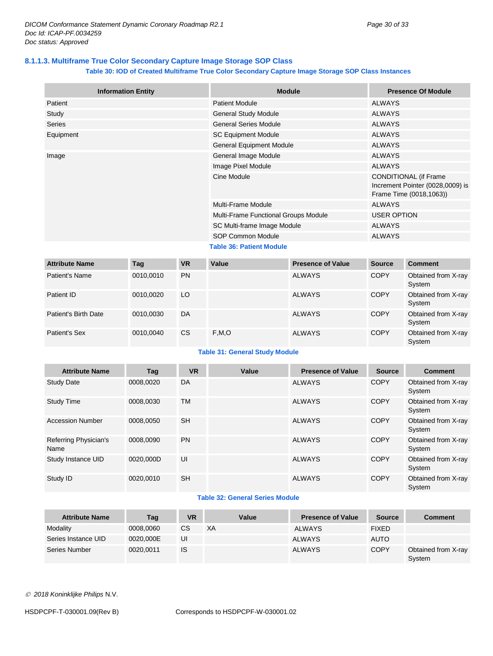## <span id="page-29-0"></span>**8.1.1.3. Multiframe True Color Secondary Capture Image Storage SOP Class**

#### **Table 30: IOD of Created Multiframe True Color Secondary Capture Image Storage SOP Class Instances**

| <b>Information Entity</b> | <b>Module</b>                        | <b>Presence Of Module</b>                                                                   |  |
|---------------------------|--------------------------------------|---------------------------------------------------------------------------------------------|--|
| Patient                   | <b>Patient Module</b>                | ALWAYS                                                                                      |  |
| Study                     | <b>General Study Module</b>          | <b>ALWAYS</b>                                                                               |  |
| <b>Series</b>             | <b>General Series Module</b>         | <b>ALWAYS</b>                                                                               |  |
| Equipment                 | <b>SC Equipment Module</b>           | ALWAYS                                                                                      |  |
|                           | <b>General Equipment Module</b>      | ALWAYS                                                                                      |  |
| Image                     | General Image Module                 | <b>ALWAYS</b>                                                                               |  |
|                           | Image Pixel Module                   | <b>ALWAYS</b>                                                                               |  |
|                           | Cine Module                          | <b>CONDITIONAL (if Frame</b><br>Increment Pointer (0028,0009) is<br>Frame Time (0018,1063)) |  |
|                           | <b>Multi-Frame Module</b>            | <b>ALWAYS</b>                                                                               |  |
|                           | Multi-Frame Functional Groups Module | <b>USER OPTION</b>                                                                          |  |
|                           | SC Multi-frame Image Module          | ALWAYS                                                                                      |  |
|                           | SOP Common Module                    | <b>ALWAYS</b>                                                                               |  |
|                           | <b>Table 36: Patient Module</b>      |                                                                                             |  |

| <b>Attribute Name</b> | Tag       | <b>VR</b> | Value | <b>Presence of Value</b> | <b>Source</b> | <b>Comment</b>                |
|-----------------------|-----------|-----------|-------|--------------------------|---------------|-------------------------------|
| Patient's Name        | 0010,0010 | <b>PN</b> |       | <b>ALWAYS</b>            | <b>COPY</b>   | Obtained from X-ray<br>System |
| Patient ID            | 0010,0020 | LO        |       | <b>ALWAYS</b>            | <b>COPY</b>   | Obtained from X-ray<br>System |
| Patient's Birth Date  | 0010.0030 | DA        |       | <b>ALWAYS</b>            | <b>COPY</b>   | Obtained from X-ray<br>System |
| Patient's Sex         | 0010.0040 | CS        | F,M,O | <b>ALWAYS</b>            | <b>COPY</b>   | Obtained from X-ray<br>System |

#### **Table 31: General Study Module**

| <b>Attribute Name</b>         | Tag       | <b>VR</b> | Value | <b>Presence of Value</b> | <b>Source</b> | <b>Comment</b>                |
|-------------------------------|-----------|-----------|-------|--------------------------|---------------|-------------------------------|
| <b>Study Date</b>             | 0008.0020 | DA        |       | <b>ALWAYS</b>            | <b>COPY</b>   | Obtained from X-ray<br>System |
| <b>Study Time</b>             | 0008.0030 | <b>TM</b> |       | <b>ALWAYS</b>            | <b>COPY</b>   | Obtained from X-ray<br>System |
| <b>Accession Number</b>       | 0008.0050 | <b>SH</b> |       | <b>ALWAYS</b>            | <b>COPY</b>   | Obtained from X-ray<br>System |
| Referring Physician's<br>Name | 0008.0090 | <b>PN</b> |       | <b>ALWAYS</b>            | <b>COPY</b>   | Obtained from X-ray<br>System |
| Study Instance UID            | 0020.000D | UI        |       | <b>ALWAYS</b>            | <b>COPY</b>   | Obtained from X-ray<br>System |
| Study ID                      | 0020.0010 | <b>SH</b> |       | <b>ALWAYS</b>            | <b>COPY</b>   | Obtained from X-ray<br>System |

#### **Table 32: General Series Module**

| <b>Attribute Name</b> | Tag       | VR        | Value | <b>Presence of Value</b> | <b>Source</b> | <b>Comment</b>                |
|-----------------------|-----------|-----------|-------|--------------------------|---------------|-------------------------------|
| Modality              | 0008.0060 | <b>CS</b> | XA    | <b>ALWAYS</b>            | <b>FIXED</b>  |                               |
| Series Instance UID   | 0020,000E | UI        |       | <b>ALWAYS</b>            | <b>AUTO</b>   |                               |
| Series Number         | 0020.0011 | <b>IS</b> |       | <b>ALWAYS</b>            | <b>COPY</b>   | Obtained from X-ray<br>System |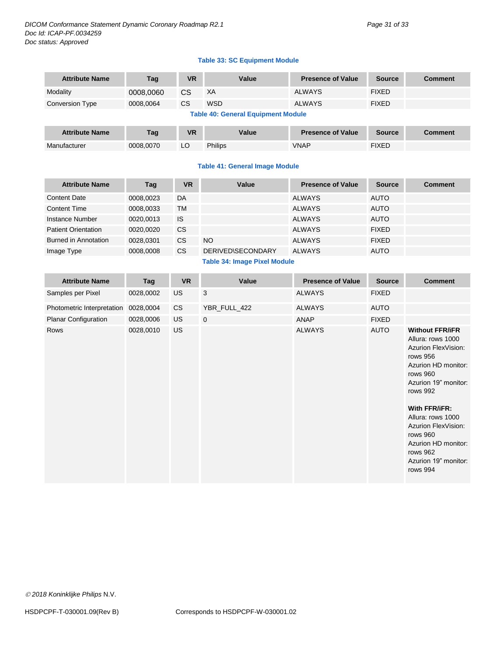*DICOM Conformance Statement Dynamic Coronary Roadmap R2.1 Page 31 of 33 Doc Id: ICAP-PF.0034259 Doc status: Approved*

#### **Table 33: SC Equipment Module**

| <b>Attribute Name</b> | Tag                                | <b>VR</b> | Value      | <b>Presence of Value</b> | <b>Source</b> | Comment |  |  |  |  |
|-----------------------|------------------------------------|-----------|------------|--------------------------|---------------|---------|--|--|--|--|
| Modality              | 0008,0060                          | <b>CS</b> | XA         | <b>ALWAYS</b>            | <b>FIXED</b>  |         |  |  |  |  |
| Conversion Type       | 0008.0064                          | <b>CS</b> | <b>WSD</b> | <b>ALWAYS</b>            | <b>FIXED</b>  |         |  |  |  |  |
|                       | Table 40: Canaral Equipment Madula |           |            |                          |               |         |  |  |  |  |

#### **Table 40: General Equipment Module**

| <b>Attribute Name</b> | Taq       | <b>VR</b> | Value          | <b>Presence of Value</b> | Source       | Comment |
|-----------------------|-----------|-----------|----------------|--------------------------|--------------|---------|
| Manufacturer          | 0008.0070 | LC        | <b>Philips</b> | VNAP                     | <b>FIXED</b> |         |

#### **Table 41: General Image Module**

| <b>Attribute Name</b>      | Tag       | <b>VR</b> | Value                    | <b>Presence of Value</b> | <b>Source</b> | <b>Comment</b> |
|----------------------------|-----------|-----------|--------------------------|--------------------------|---------------|----------------|
| <b>Content Date</b>        | 0008,0023 | DA        |                          | <b>ALWAYS</b>            | <b>AUTO</b>   |                |
| <b>Content Time</b>        | 0008,0033 | TM        |                          | <b>ALWAYS</b>            | <b>AUTO</b>   |                |
| Instance Number            | 0020.0013 | <b>IS</b> |                          | <b>ALWAYS</b>            | <b>AUTO</b>   |                |
| <b>Patient Orientation</b> | 0020.0020 | <b>CS</b> |                          | <b>ALWAYS</b>            | <b>FIXED</b>  |                |
| Burned in Annotation       | 0028,0301 | CS        | <b>NO</b>                | <b>ALWAYS</b>            | <b>FIXED</b>  |                |
| Image Type                 | 0008,0008 | CS.       | <b>DERIVED\SECONDARY</b> | <b>ALWAYS</b>            | <b>AUTO</b>   |                |
|                            |           |           | _ _ _ _ _                |                          |               |                |

#### **Table 34: Image Pixel Module**

| <b>Attribute Name</b>      | Tag       | <b>VR</b> | Value        | <b>Presence of Value</b> | <b>Source</b> | <b>Comment</b>                                                                                                                                                                                                                                                                                        |
|----------------------------|-----------|-----------|--------------|--------------------------|---------------|-------------------------------------------------------------------------------------------------------------------------------------------------------------------------------------------------------------------------------------------------------------------------------------------------------|
| Samples per Pixel          | 0028,0002 | <b>US</b> | 3            | <b>ALWAYS</b>            | <b>FIXED</b>  |                                                                                                                                                                                                                                                                                                       |
| Photometric Interpretation | 0028,0004 | <b>CS</b> | YBR_FULL_422 | <b>ALWAYS</b>            | <b>AUTO</b>   |                                                                                                                                                                                                                                                                                                       |
| Planar Configuration       | 0028,0006 | <b>US</b> | $\mathbf 0$  | ANAP                     | <b>FIXED</b>  |                                                                                                                                                                                                                                                                                                       |
| Rows                       | 0028,0010 | <b>US</b> |              | <b>ALWAYS</b>            | <b>AUTO</b>   | <b>Without FFR/iFR</b><br>Allura: rows 1000<br>Azurion FlexVision:<br>rows 956<br>Azurion HD monitor:<br>rows 960<br>Azurion 19" monitor:<br>rows 992<br>With FFR/iFR:<br>Allura: rows 1000<br>Azurion FlexVision:<br>rows 960<br>Azurion HD monitor:<br>rows 962<br>Azurion 19" monitor:<br>rows 994 |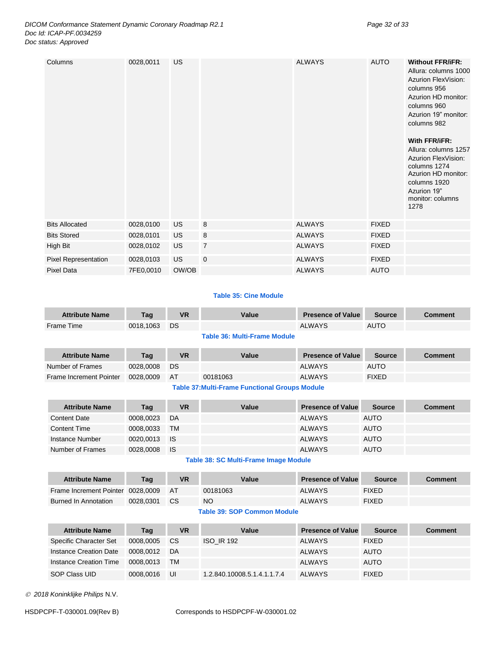#### *DICOM Conformance Statement Dynamic Coronary Roadmap R2.1 Page 32 of 33 Doc Id: ICAP-PF.0034259 Doc status: Approved*

| Columns               | 0028,0011 | <b>US</b> |                | <b>ALWAYS</b> | <b>AUTO</b>  | <b>Without FFR/iFR:</b><br>Allura: columns 1000<br>Azurion FlexVision:<br>columns 956<br>Azurion HD monitor:<br>columns 960<br>Azurion 19" monitor:<br>columns 982<br>With FFR/iFR:<br>Allura: columns 1257<br>Azurion FlexVision:<br>columns 1274<br>Azurion HD monitor:<br>columns 1920<br>Azurion 19"<br>monitor: columns<br>1278 |
|-----------------------|-----------|-----------|----------------|---------------|--------------|--------------------------------------------------------------------------------------------------------------------------------------------------------------------------------------------------------------------------------------------------------------------------------------------------------------------------------------|
| <b>Bits Allocated</b> | 0028,0100 | US        | 8              | <b>ALWAYS</b> | <b>FIXED</b> |                                                                                                                                                                                                                                                                                                                                      |
| <b>Bits Stored</b>    | 0028,0101 | <b>US</b> | 8              | <b>ALWAYS</b> | <b>FIXED</b> |                                                                                                                                                                                                                                                                                                                                      |
| High Bit              | 0028,0102 | <b>US</b> | $\overline{7}$ | <b>ALWAYS</b> | <b>FIXED</b> |                                                                                                                                                                                                                                                                                                                                      |
| Pixel Representation  | 0028,0103 | US.       | $\mathbf 0$    | <b>ALWAYS</b> | <b>FIXED</b> |                                                                                                                                                                                                                                                                                                                                      |
| <b>Pixel Data</b>     | 7FE0,0010 | OW/OB     |                | <b>ALWAYS</b> | <b>AUTO</b>  |                                                                                                                                                                                                                                                                                                                                      |

#### **Table 35: Cine Module**

| <b>Attribute Name</b> | Tag          | <b>VR</b> | Value                   | <b>Presence of Value</b> | <b>Source</b> | Comment |
|-----------------------|--------------|-----------|-------------------------|--------------------------|---------------|---------|
| Frame Time            | 0018.1063 DS |           |                         | <b>ALWAYS</b>            | AUTO          |         |
|                       |              |           | _ _ _ _ _ _<br>-- - - - |                          |               |         |

**Table 36: Multi-Frame Module**

| <b>Attribute Name</b>                                 | Tag       | <b>VR</b> | Value    | <b>Presence of Value</b> | Source       | <b>Comment</b> |  |
|-------------------------------------------------------|-----------|-----------|----------|--------------------------|--------------|----------------|--|
| Number of Frames                                      | 0028,0008 | DS.       |          | ALWAYS                   | <b>AUTO</b>  |                |  |
| Frame Increment Pointer                               | 0028.0009 | AT        | 00181063 | <b>ALWAYS</b>            | <b>FIXED</b> |                |  |
| <b>Table 37: Multi-Frame Functional Groups Module</b> |           |           |          |                          |              |                |  |

| <b>Attribute Name</b> | Tag       | VR   | Value | <b>Presence of Value</b> | Source      | Comment |
|-----------------------|-----------|------|-------|--------------------------|-------------|---------|
| <b>Content Date</b>   | 0008.0023 | DA   |       | <b>ALWAYS</b>            | <b>AUTO</b> |         |
| <b>Content Time</b>   | 0008,0033 | TM   |       | <b>ALWAYS</b>            | <b>AUTO</b> |         |
| Instance Number       | 0020,0013 | - IS |       | <b>ALWAYS</b>            | <b>AUTO</b> |         |

**Table 38: SC Multi-Frame Image Module**

Number of Frames 0028,0008 IS ALWAYS AUTO

| <b>Attribute Name</b>             | Taq       | VR        | Value     | <b>Presence of Value</b> | <b>Source</b> | Comment |
|-----------------------------------|-----------|-----------|-----------|--------------------------|---------------|---------|
| Frame Increment Pointer 0028,0009 |           | <b>AT</b> | 00181063  | <b>ALWAYS</b>            | <b>FIXED</b>  |         |
| <b>Burned In Annotation</b>       | 0028.0301 | CS.       | <b>NO</b> | <b>ALWAYS</b>            | <b>FIXED</b>  |         |

#### **Table 39: SOP Common Module**

| <b>Attribute Name</b>  | Tag       | VR        | Value                       | <b>Presence of Value</b> | <b>Source</b> | <b>Comment</b> |
|------------------------|-----------|-----------|-----------------------------|--------------------------|---------------|----------------|
| Specific Character Set | 0008,0005 | <b>CS</b> | <b>ISO IR 192</b>           | <b>ALWAYS</b>            | <b>FIXED</b>  |                |
| Instance Creation Date | 0008.0012 | DA        |                             | <b>ALWAYS</b>            | <b>AUTO</b>   |                |
| Instance Creation Time | 0008.0013 | <b>TM</b> |                             | <b>ALWAYS</b>            | <b>AUTO</b>   |                |
| SOP Class UID          | 0008.0016 | UI        | 1.2.840.10008.5.1.4.1.1.7.4 | ALWAYS                   | <b>FIXED</b>  |                |